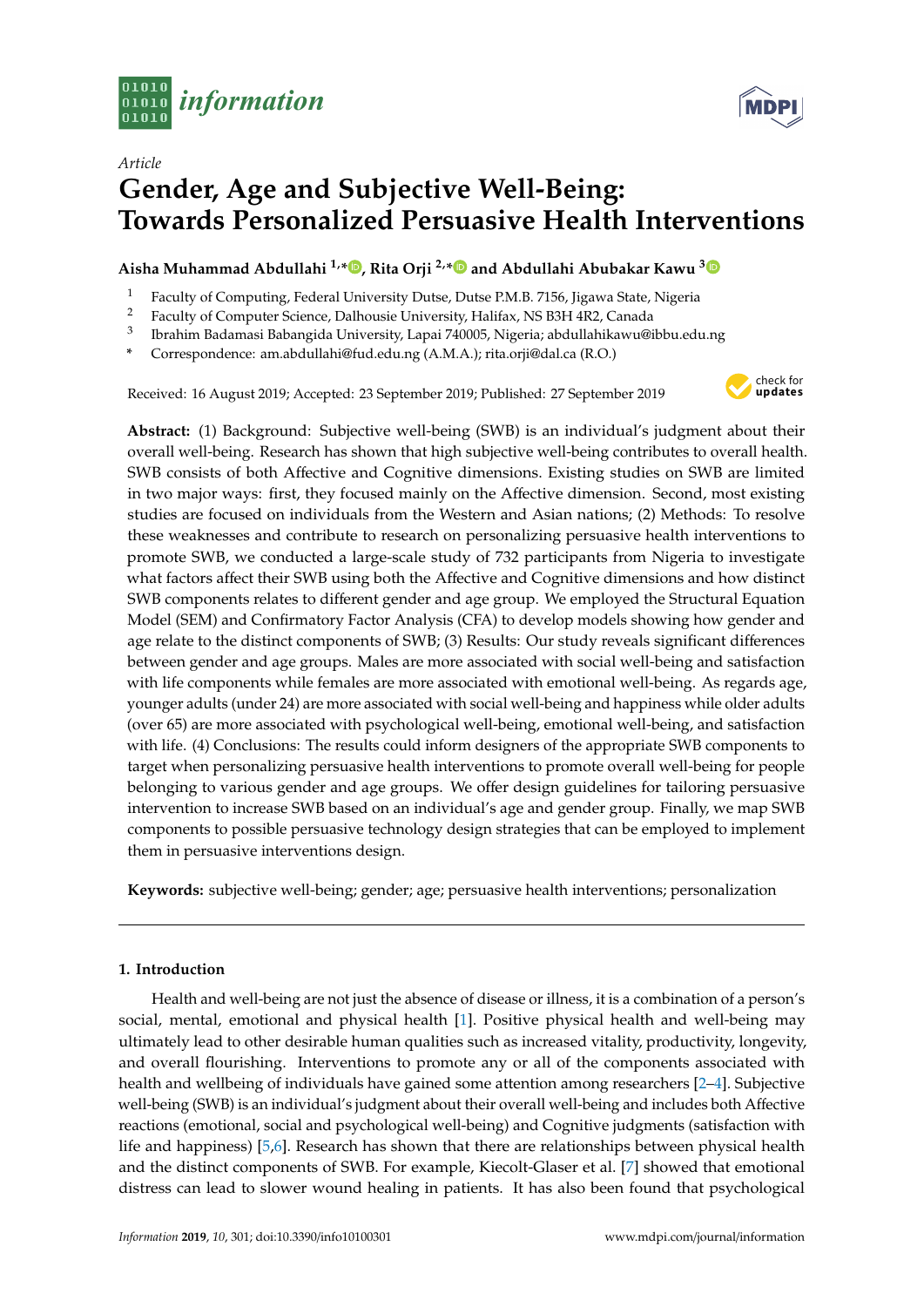



# *Article* **Gender, Age and Subjective Well-Being: Towards Personalized Persuasive Health Interventions**

**Aisha Muhammad Abdullahi 1,[\\*](https://orcid.org/0000-0002-6771-2702) , Rita Orji 2,[\\*](https://orcid.org/0000-0001-6152-8034) and Abdullahi Abubakar Kawu [3](https://orcid.org/0000-0003-2531-9539)**

- <sup>1</sup> Faculty of Computing, Federal University Dutse, Dutse P.M.B. 7156, Jigawa State, Nigeria<br><sup>2</sup> Faculty of Computer Science, Dalhousie University Halifax, NS B3H 4R2, Canada
- <sup>2</sup> Faculty of Computer Science, Dalhousie University, Halifax, NS B3H 4R2, Canada
- 3 Ibrahim Badamasi Babangida University, Lapai 740005, Nigeria; abdullahikawu@ibbu.edu.ng

**\*** Correspondence: am.abdullahi@fud.edu.ng (A.M.A.); rita.orji@dal.ca (R.O.)

Received: 16 August 2019; Accepted: 23 September 2019; Published: 27 September 2019



**Abstract:** (1) Background: Subjective well-being (SWB) is an individual's judgment about their overall well-being. Research has shown that high subjective well-being contributes to overall health. SWB consists of both Affective and Cognitive dimensions. Existing studies on SWB are limited in two major ways: first, they focused mainly on the Affective dimension. Second, most existing studies are focused on individuals from the Western and Asian nations; (2) Methods: To resolve these weaknesses and contribute to research on personalizing persuasive health interventions to promote SWB, we conducted a large-scale study of 732 participants from Nigeria to investigate what factors affect their SWB using both the Affective and Cognitive dimensions and how distinct SWB components relates to different gender and age group. We employed the Structural Equation Model (SEM) and Confirmatory Factor Analysis (CFA) to develop models showing how gender and age relate to the distinct components of SWB; (3) Results: Our study reveals significant differences between gender and age groups. Males are more associated with social well-being and satisfaction with life components while females are more associated with emotional well-being. As regards age, younger adults (under 24) are more associated with social well-being and happiness while older adults (over 65) are more associated with psychological well-being, emotional well-being, and satisfaction with life. (4) Conclusions: The results could inform designers of the appropriate SWB components to target when personalizing persuasive health interventions to promote overall well-being for people belonging to various gender and age groups. We offer design guidelines for tailoring persuasive intervention to increase SWB based on an individual's age and gender group. Finally, we map SWB components to possible persuasive technology design strategies that can be employed to implement them in persuasive interventions design.

**Keywords:** subjective well-being; gender; age; persuasive health interventions; personalization

### **1. Introduction**

Health and well-being are not just the absence of disease or illness, it is a combination of a person's social, mental, emotional and physical health [\[1\]](#page-14-0). Positive physical health and well-being may ultimately lead to other desirable human qualities such as increased vitality, productivity, longevity, and overall flourishing. Interventions to promote any or all of the components associated with health and wellbeing of individuals have gained some attention among researchers [\[2](#page-14-1)[–4\]](#page-14-2). Subjective well-being (SWB) is an individual's judgment about their overall well-being and includes both Affective reactions (emotional, social and psychological well-being) and Cognitive judgments (satisfaction with life and happiness) [\[5,](#page-14-3)[6\]](#page-14-4). Research has shown that there are relationships between physical health and the distinct components of SWB. For example, Kiecolt-Glaser et al. [\[7\]](#page-14-5) showed that emotional distress can lead to slower wound healing in patients. It has also been found that psychological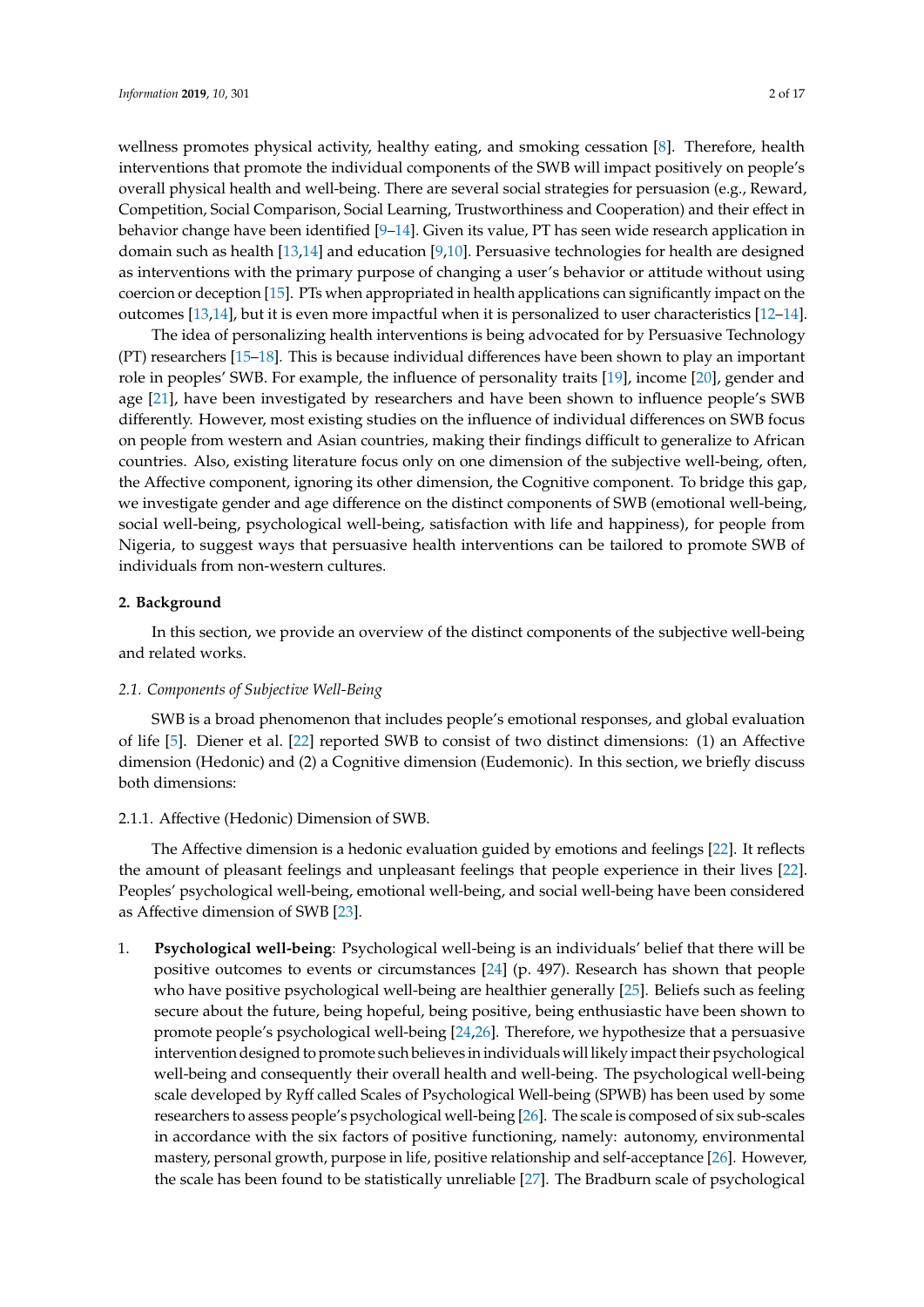wellness promotes physical activity, healthy eating, and smoking cessation [\[8\]](#page-14-6). Therefore, health interventions that promote the individual components of the SWB will impact positively on people's overall physical health and well-being. There are several social strategies for persuasion (e.g., Reward, Competition, Social Comparison, Social Learning, Trustworthiness and Cooperation) and their effect in behavior change have been identified [\[9–](#page-14-7)[14\]](#page-15-0). Given its value, PT has seen wide research application in domain such as health [\[13](#page-15-1)[,14\]](#page-15-0) and education [\[9,](#page-14-7)[10\]](#page-14-8). Persuasive technologies for health are designed as interventions with the primary purpose of changing a user's behavior or attitude without using coercion or deception [\[15\]](#page-15-2). PTs when appropriated in health applications can significantly impact on the outcomes [\[13,](#page-15-1)[14\]](#page-15-0), but it is even more impactful when it is personalized to user characteristics [\[12–](#page-14-9)[14\]](#page-15-0).

The idea of personalizing health interventions is being advocated for by Persuasive Technology (PT) researchers [\[15–](#page-15-2)[18\]](#page-15-3). This is because individual differences have been shown to play an important role in peoples' SWB. For example, the influence of personality traits [\[19\]](#page-15-4), income [\[20\]](#page-15-5), gender and age [\[21\]](#page-15-6), have been investigated by researchers and have been shown to influence people's SWB differently. However, most existing studies on the influence of individual differences on SWB focus on people from western and Asian countries, making their findings difficult to generalize to African countries. Also, existing literature focus only on one dimension of the subjective well-being, often, the Affective component, ignoring its other dimension, the Cognitive component. To bridge this gap, we investigate gender and age difference on the distinct components of SWB (emotional well-being, social well-being, psychological well-being, satisfaction with life and happiness), for people from Nigeria, to suggest ways that persuasive health interventions can be tailored to promote SWB of individuals from non-western cultures.

#### **2. Background**

In this section, we provide an overview of the distinct components of the subjective well-being and related works.

#### *2.1. Components of Subjective Well-Being*

SWB is a broad phenomenon that includes people's emotional responses, and global evaluation of life [\[5\]](#page-14-3). Diener et al. [\[22\]](#page-15-7) reported SWB to consist of two distinct dimensions: (1) an Affective dimension (Hedonic) and (2) a Cognitive dimension (Eudemonic). In this section, we briefly discuss both dimensions:

#### 2.1.1. Affective (Hedonic) Dimension of SWB.

The Affective dimension is a hedonic evaluation guided by emotions and feelings [\[22\]](#page-15-7). It reflects the amount of pleasant feelings and unpleasant feelings that people experience in their lives [\[22\]](#page-15-7). Peoples' psychological well-being, emotional well-being, and social well-being have been considered as Affective dimension of SWB [\[23\]](#page-15-8).

1. **Psychological well-being**: Psychological well-being is an individuals' belief that there will be positive outcomes to events or circumstances [\[24\]](#page-15-9) (p. 497). Research has shown that people who have positive psychological well-being are healthier generally [\[25\]](#page-15-10). Beliefs such as feeling secure about the future, being hopeful, being positive, being enthusiastic have been shown to promote people's psychological well-being [\[24,](#page-15-9)[26\]](#page-15-11). Therefore, we hypothesize that a persuasive intervention designed to promote such believes in individuals will likely impact their psychological well-being and consequently their overall health and well-being. The psychological well-being scale developed by Ryff called Scales of Psychological Well-being (SPWB) has been used by some researchers to assess people's psychological well-being [\[26\]](#page-15-11). The scale is composed of six sub-scales in accordance with the six factors of positive functioning, namely: autonomy, environmental mastery, personal growth, purpose in life, positive relationship and self-acceptance [\[26\]](#page-15-11). However, the scale has been found to be statistically unreliable [\[27\]](#page-15-12). The Bradburn scale of psychological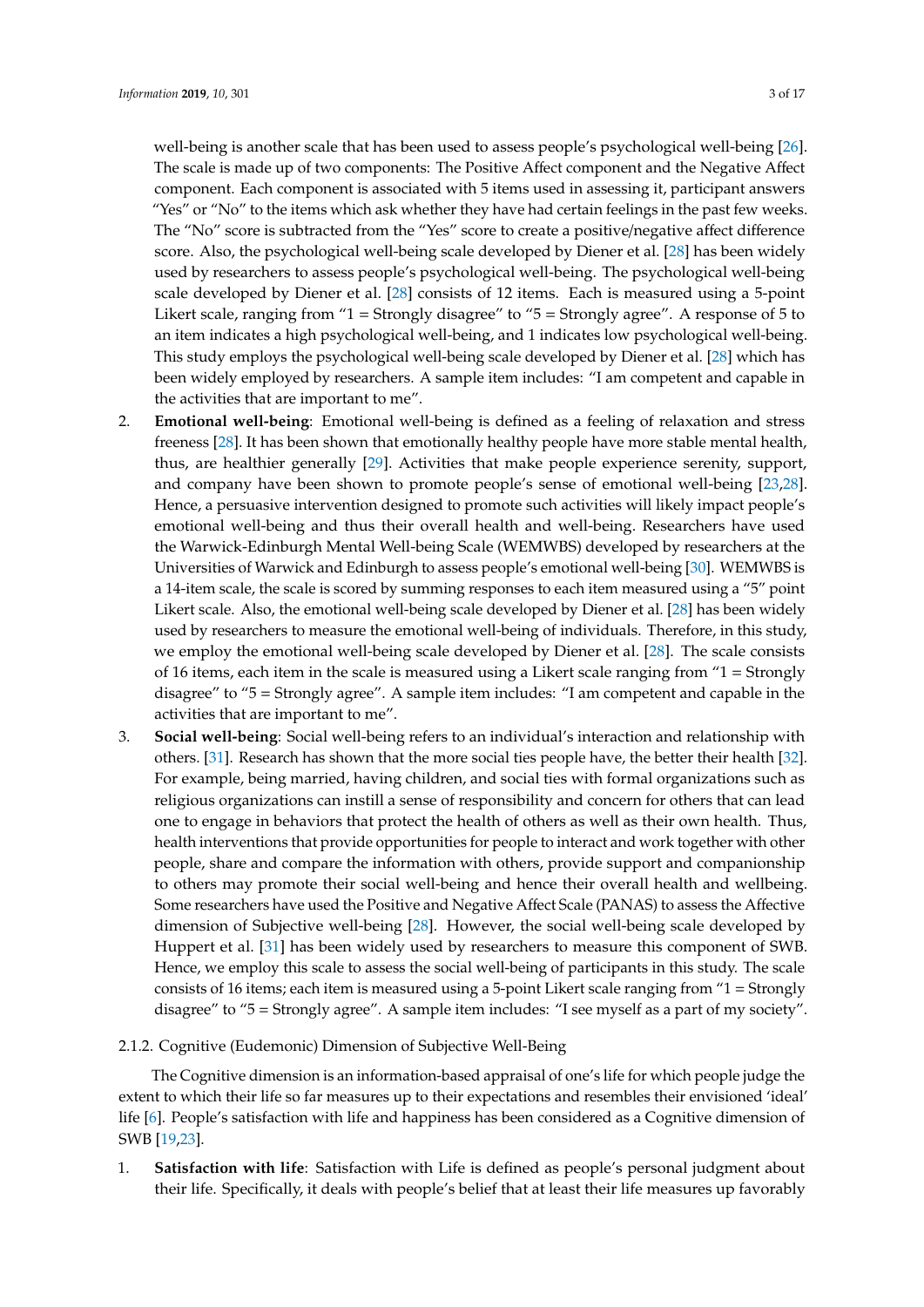well-being is another scale that has been used to assess people's psychological well-being [\[26\]](#page-15-11). The scale is made up of two components: The Positive Affect component and the Negative Affect component. Each component is associated with 5 items used in assessing it, participant answers "Yes" or "No" to the items which ask whether they have had certain feelings in the past few weeks. The "No" score is subtracted from the "Yes" score to create a positive/negative affect difference score. Also, the psychological well-being scale developed by Diener et al. [\[28\]](#page-15-13) has been widely used by researchers to assess people's psychological well-being. The psychological well-being scale developed by Diener et al. [\[28\]](#page-15-13) consists of 12 items. Each is measured using a 5-point Likert scale, ranging from "1 = Strongly disagree" to "5 = Strongly agree". A response of 5 to an item indicates a high psychological well-being, and 1 indicates low psychological well-being. This study employs the psychological well-being scale developed by Diener et al. [\[28\]](#page-15-13) which has been widely employed by researchers. A sample item includes: "I am competent and capable in the activities that are important to me".

- 2. **Emotional well-being**: Emotional well-being is defined as a feeling of relaxation and stress freeness [\[28\]](#page-15-13). It has been shown that emotionally healthy people have more stable mental health, thus, are healthier generally [\[29\]](#page-15-14). Activities that make people experience serenity, support, and company have been shown to promote people's sense of emotional well-being [\[23,](#page-15-8)[28\]](#page-15-13). Hence, a persuasive intervention designed to promote such activities will likely impact people's emotional well-being and thus their overall health and well-being. Researchers have used the Warwick-Edinburgh Mental Well-being Scale (WEMWBS) developed by researchers at the Universities of Warwick and Edinburgh to assess people's emotional well-being [\[30\]](#page-15-15). WEMWBS is a 14-item scale, the scale is scored by summing responses to each item measured using a "5" point Likert scale. Also, the emotional well-being scale developed by Diener et al. [\[28\]](#page-15-13) has been widely used by researchers to measure the emotional well-being of individuals. Therefore, in this study, we employ the emotional well-being scale developed by Diener et al. [\[28\]](#page-15-13). The scale consists of 16 items, each item in the scale is measured using a Likert scale ranging from  $T =$  Strongly disagree" to "5 = Strongly agree". A sample item includes: "I am competent and capable in the activities that are important to me".
- 3. **Social well-being**: Social well-being refers to an individual's interaction and relationship with others. [\[31\]](#page-15-16). Research has shown that the more social ties people have, the better their health [\[32\]](#page-15-17). For example, being married, having children, and social ties with formal organizations such as religious organizations can instill a sense of responsibility and concern for others that can lead one to engage in behaviors that protect the health of others as well as their own health. Thus, health interventions that provide opportunities for people to interact and work together with other people, share and compare the information with others, provide support and companionship to others may promote their social well-being and hence their overall health and wellbeing. Some researchers have used the Positive and Negative Affect Scale (PANAS) to assess the Affective dimension of Subjective well-being [\[28\]](#page-15-13). However, the social well-being scale developed by Huppert et al. [\[31\]](#page-15-16) has been widely used by researchers to measure this component of SWB. Hence, we employ this scale to assess the social well-being of participants in this study. The scale consists of 16 items; each item is measured using a 5-point Likert scale ranging from "1 = Strongly disagree" to "5 = Strongly agree". A sample item includes: "I see myself as a part of my society".
- 2.1.2. Cognitive (Eudemonic) Dimension of Subjective Well-Being

The Cognitive dimension is an information-based appraisal of one's life for which people judge the extent to which their life so far measures up to their expectations and resembles their envisioned 'ideal' life [\[6\]](#page-14-4). People's satisfaction with life and happiness has been considered as a Cognitive dimension of SWB [\[19,](#page-15-4)[23\]](#page-15-8).

1. **Satisfaction with life**: Satisfaction with Life is defined as people's personal judgment about their life. Specifically, it deals with people's belief that at least their life measures up favorably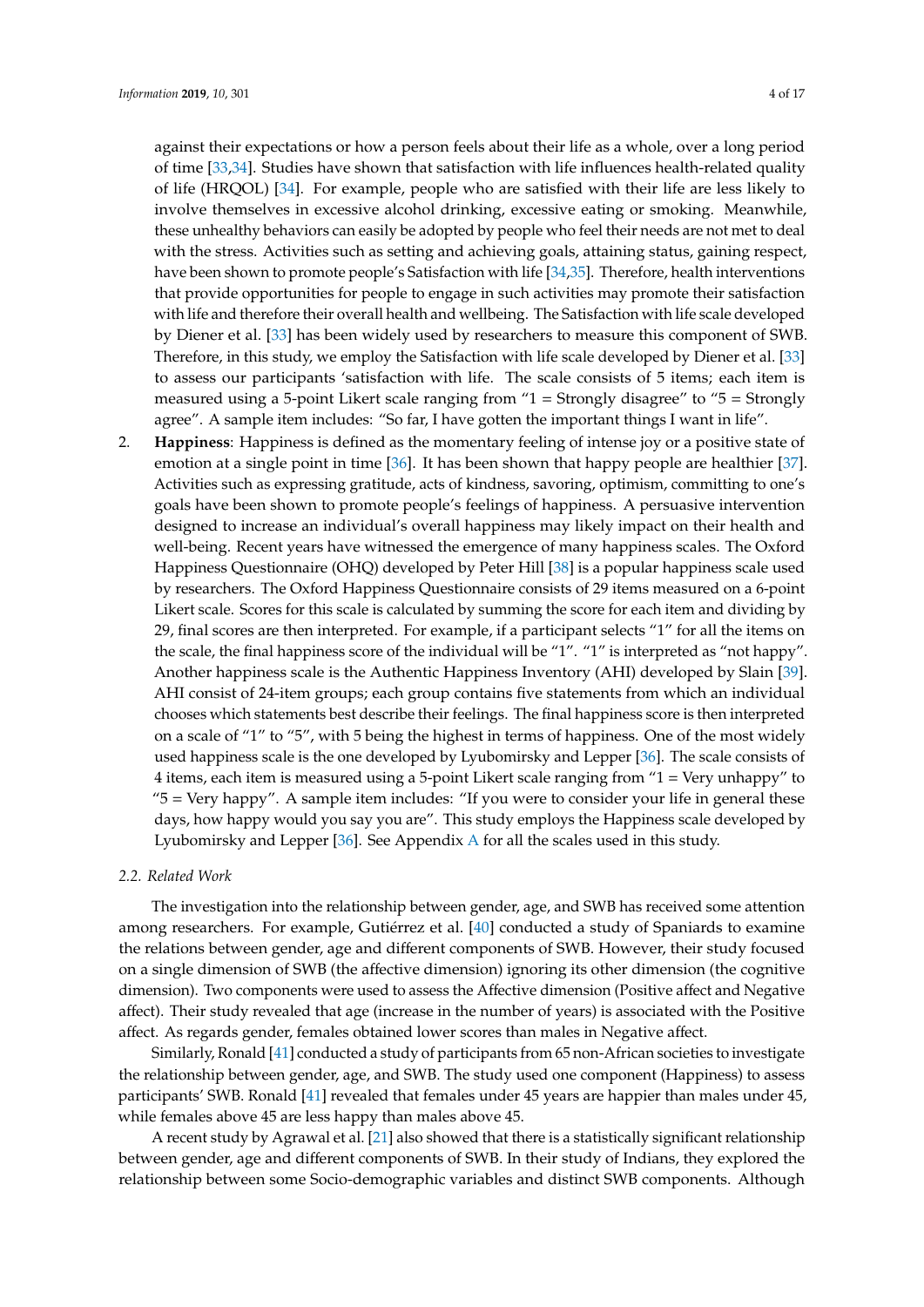against their expectations or how a person feels about their life as a whole, over a long period of time [\[33](#page-15-18)[,34\]](#page-15-19). Studies have shown that satisfaction with life influences health-related quality of life (HRQOL) [\[34\]](#page-15-19). For example, people who are satisfied with their life are less likely to involve themselves in excessive alcohol drinking, excessive eating or smoking. Meanwhile, these unhealthy behaviors can easily be adopted by people who feel their needs are not met to deal with the stress. Activities such as setting and achieving goals, attaining status, gaining respect, have been shown to promote people's Satisfaction with life [\[34](#page-15-19)[,35\]](#page-15-20). Therefore, health interventions that provide opportunities for people to engage in such activities may promote their satisfaction with life and therefore their overall health and wellbeing. The Satisfaction with life scale developed by Diener et al. [\[33\]](#page-15-18) has been widely used by researchers to measure this component of SWB. Therefore, in this study, we employ the Satisfaction with life scale developed by Diener et al. [\[33\]](#page-15-18) to assess our participants 'satisfaction with life. The scale consists of 5 items; each item is measured using a 5-point Likert scale ranging from  $-1$  = Strongly disagree" to  $-5$  = Strongly agree". A sample item includes: "So far, I have gotten the important things I want in life".

2. **Happiness**: Happiness is defined as the momentary feeling of intense joy or a positive state of emotion at a single point in time [\[36\]](#page-16-0). It has been shown that happy people are healthier [\[37\]](#page-16-1). Activities such as expressing gratitude, acts of kindness, savoring, optimism, committing to one's goals have been shown to promote people's feelings of happiness. A persuasive intervention designed to increase an individual's overall happiness may likely impact on their health and well-being. Recent years have witnessed the emergence of many happiness scales. The Oxford Happiness Questionnaire (OHQ) developed by Peter Hill [\[38\]](#page-16-2) is a popular happiness scale used by researchers. The Oxford Happiness Questionnaire consists of 29 items measured on a 6-point Likert scale. Scores for this scale is calculated by summing the score for each item and dividing by 29, final scores are then interpreted. For example, if a participant selects "1" for all the items on the scale, the final happiness score of the individual will be "1". "1" is interpreted as "not happy". Another happiness scale is the Authentic Happiness Inventory (AHI) developed by Slain [\[39\]](#page-16-3). AHI consist of 24-item groups; each group contains five statements from which an individual chooses which statements best describe their feelings. The final happiness score is then interpreted on a scale of "1" to "5", with 5 being the highest in terms of happiness. One of the most widely used happiness scale is the one developed by Lyubomirsky and Lepper [\[36\]](#page-16-0). The scale consists of 4 items, each item is measured using a 5-point Likert scale ranging from "1 = Very unhappy" to  $-5$  = Very happy". A sample item includes: "If you were to consider your life in general these days, how happy would you say you are". This study employs the Happiness scale developed by Lyubomirsky and Lepper [\[36\]](#page-16-0). See Appendix [A](#page-12-0) for all the scales used in this study.

### *2.2. Related Work*

The investigation into the relationship between gender, age, and SWB has received some attention among researchers. For example, Gutiérrez et al. [\[40\]](#page-16-4) conducted a study of Spaniards to examine the relations between gender, age and different components of SWB. However, their study focused on a single dimension of SWB (the affective dimension) ignoring its other dimension (the cognitive dimension). Two components were used to assess the Affective dimension (Positive affect and Negative affect). Their study revealed that age (increase in the number of years) is associated with the Positive affect. As regards gender, females obtained lower scores than males in Negative affect.

Similarly, Ronald [\[41\]](#page-16-5) conducted a study of participants from 65 non-African societies to investigate the relationship between gender, age, and SWB. The study used one component (Happiness) to assess participants' SWB. Ronald [\[41\]](#page-16-5) revealed that females under 45 years are happier than males under 45, while females above 45 are less happy than males above 45.

A recent study by Agrawal et al. [\[21\]](#page-15-6) also showed that there is a statistically significant relationship between gender, age and different components of SWB. In their study of Indians, they explored the relationship between some Socio-demographic variables and distinct SWB components. Although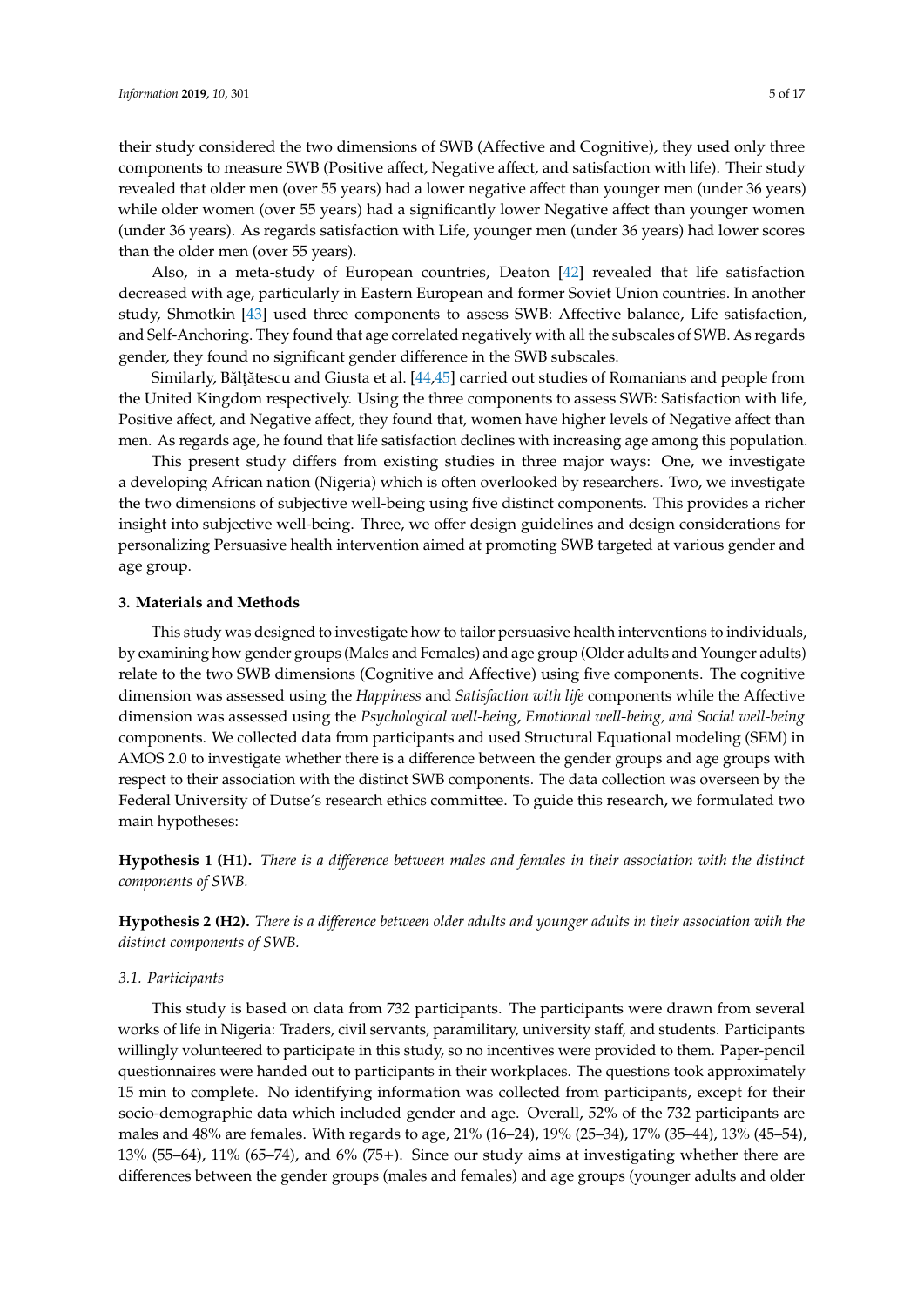their study considered the two dimensions of SWB (Affective and Cognitive), they used only three components to measure SWB (Positive affect, Negative affect, and satisfaction with life). Their study revealed that older men (over 55 years) had a lower negative affect than younger men (under 36 years) while older women (over 55 years) had a significantly lower Negative affect than younger women (under 36 years). As regards satisfaction with Life, younger men (under 36 years) had lower scores than the older men (over 55 years).

Also, in a meta-study of European countries, Deaton [\[42\]](#page-16-6) revealed that life satisfaction decreased with age, particularly in Eastern European and former Soviet Union countries. In another study, Shmotkin [\[43\]](#page-16-7) used three components to assess SWB: Affective balance, Life satisfaction, and Self-Anchoring. They found that age correlated negatively with all the subscales of SWB. As regards gender, they found no significant gender difference in the SWB subscales.

Similarly, Bălțătescu and Giusta et al.  $[44,45]$  $[44,45]$  carried out studies of Romanians and people from the United Kingdom respectively. Using the three components to assess SWB: Satisfaction with life, Positive affect, and Negative affect, they found that, women have higher levels of Negative affect than men. As regards age, he found that life satisfaction declines with increasing age among this population.

This present study differs from existing studies in three major ways: One, we investigate a developing African nation (Nigeria) which is often overlooked by researchers. Two, we investigate the two dimensions of subjective well-being using five distinct components. This provides a richer insight into subjective well-being. Three, we offer design guidelines and design considerations for personalizing Persuasive health intervention aimed at promoting SWB targeted at various gender and age group.

### **3. Materials and Methods**

This study was designed to investigate how to tailor persuasive health interventions to individuals, by examining how gender groups (Males and Females) and age group (Older adults and Younger adults) relate to the two SWB dimensions (Cognitive and Affective) using five components. The cognitive dimension was assessed using the *Happiness* and *Satisfaction with life* components while the Affective dimension was assessed using the *Psychological well-being*, *Emotional well-being, and Social well-being* components. We collected data from participants and used Structural Equational modeling (SEM) in AMOS 2.0 to investigate whether there is a difference between the gender groups and age groups with respect to their association with the distinct SWB components. The data collection was overseen by the Federal University of Dutse's research ethics committee. To guide this research, we formulated two main hypotheses:

**Hypothesis 1 (H1).** *There is a di*ff*erence between males and females in their association with the distinct components of SWB.*

**Hypothesis 2 (H2).** *There is a di*ff*erence between older adults and younger adults in their association with the distinct components of SWB.*

#### *3.1. Participants*

This study is based on data from 732 participants. The participants were drawn from several works of life in Nigeria: Traders, civil servants, paramilitary, university staff, and students. Participants willingly volunteered to participate in this study, so no incentives were provided to them. Paper-pencil questionnaires were handed out to participants in their workplaces. The questions took approximately 15 min to complete. No identifying information was collected from participants, except for their socio-demographic data which included gender and age. Overall, 52% of the 732 participants are males and 48% are females. With regards to age, 21% (16–24), 19% (25–34), 17% (35–44), 13% (45–54), 13% (55–64), 11% (65–74), and 6% (75+). Since our study aims at investigating whether there are differences between the gender groups (males and females) and age groups (younger adults and older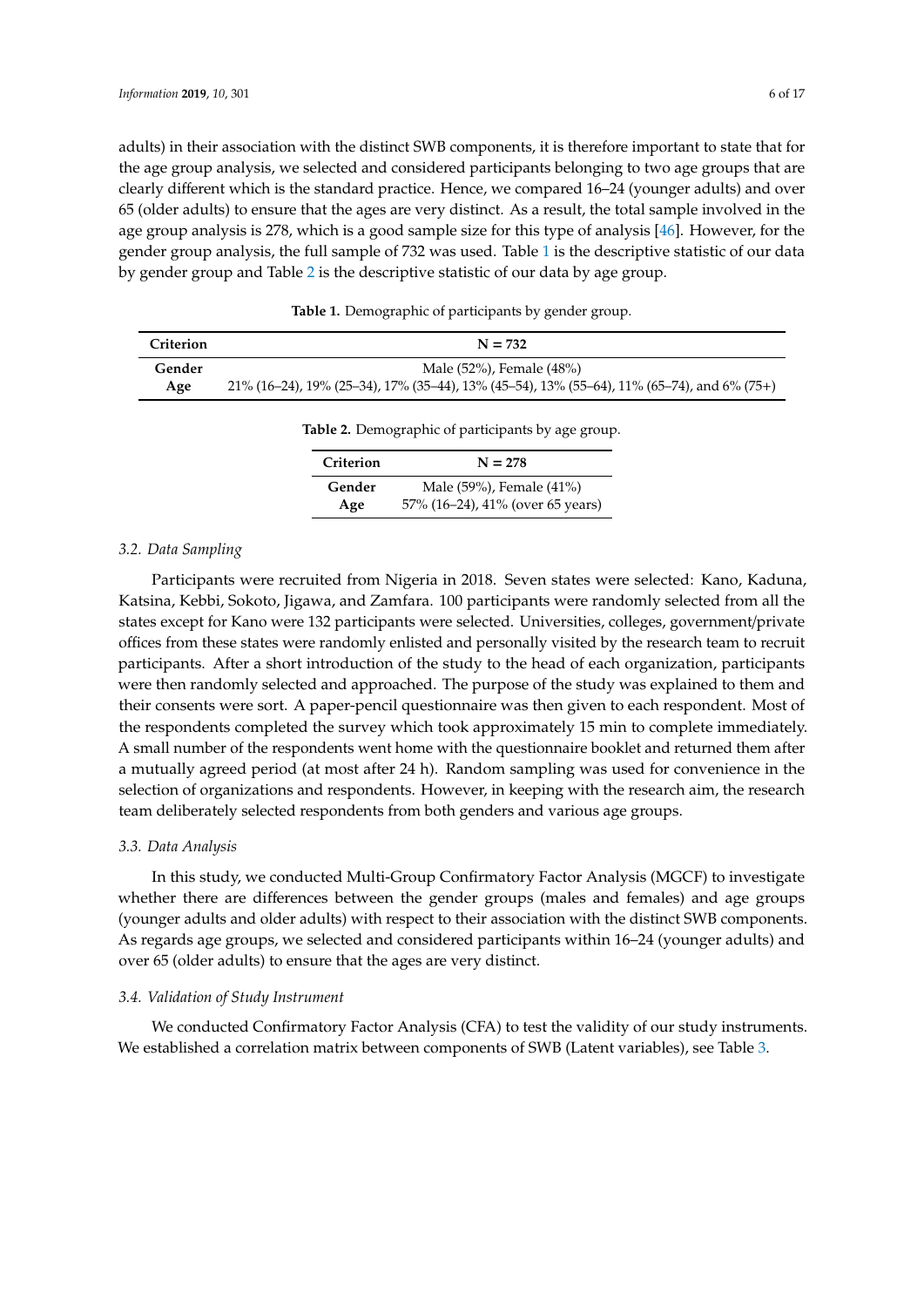adults) in their association with the distinct SWB components, it is therefore important to state that for the age group analysis, we selected and considered participants belonging to two age groups that are clearly different which is the standard practice. Hence, we compared 16–24 (younger adults) and over 65 (older adults) to ensure that the ages are very distinct. As a result, the total sample involved in the age group analysis is 278, which is a good sample size for this type of analysis [\[46\]](#page-16-10). However, for the gender group analysis, the full sample of 732 was used. Table [1](#page-5-0) is the descriptive statistic of our data by gender group and Table [2](#page-5-1) is the descriptive statistic of our data by age group.

<span id="page-5-1"></span><span id="page-5-0"></span>

| Criterion | $N = 732$                                                                                     |
|-----------|-----------------------------------------------------------------------------------------------|
| Gender    | Male (52%), Female (48%)                                                                      |
| Age       | $21\%$ (16–24), 19% (25–34), 17% (35–44), 13% (45–54), 13% (55–64), 11% (65–74), and 6% (75+) |

**Table 1.** Demographic of participants by gender group.

|           | Table 2. Demographic of participants by age group. |
|-----------|----------------------------------------------------|
| Criterion | $N = 278$                                          |

**Gender** Male (59%), Female (41%) **Age** 57% (16–24), 41% (over 65 years)

# *3.2. Data Sampling*

Participants were recruited from Nigeria in 2018. Seven states were selected: Kano, Kaduna, Katsina, Kebbi, Sokoto, Jigawa, and Zamfara. 100 participants were randomly selected from all the states except for Kano were 132 participants were selected. Universities, colleges, government/private offices from these states were randomly enlisted and personally visited by the research team to recruit participants. After a short introduction of the study to the head of each organization, participants were then randomly selected and approached. The purpose of the study was explained to them and their consents were sort. A paper-pencil questionnaire was then given to each respondent. Most of the respondents completed the survey which took approximately 15 min to complete immediately. A small number of the respondents went home with the questionnaire booklet and returned them after a mutually agreed period (at most after 24 h). Random sampling was used for convenience in the selection of organizations and respondents. However, in keeping with the research aim, the research team deliberately selected respondents from both genders and various age groups.

#### *3.3. Data Analysis*

In this study, we conducted Multi-Group Confirmatory Factor Analysis (MGCF) to investigate whether there are differences between the gender groups (males and females) and age groups (younger adults and older adults) with respect to their association with the distinct SWB components. As regards age groups, we selected and considered participants within 16–24 (younger adults) and over 65 (older adults) to ensure that the ages are very distinct.

#### *3.4. Validation of Study Instrument*

We conducted Confirmatory Factor Analysis (CFA) to test the validity of our study instruments. We established a correlation matrix between components of SWB (Latent variables), see Table [3.](#page-6-0)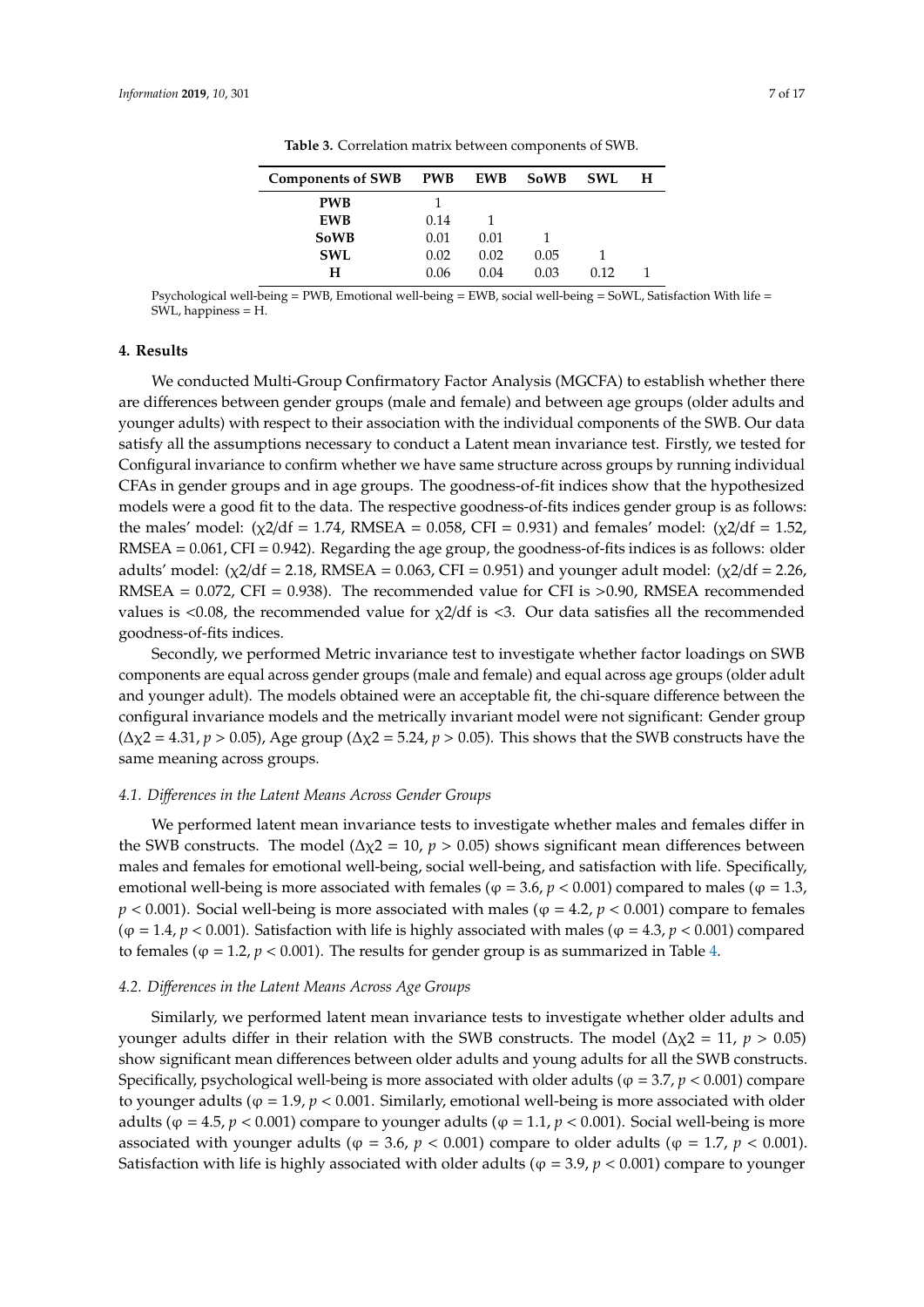<span id="page-6-0"></span>

| Components of SWB PWB EWB |      |      | SoWB | SWL. | н |
|---------------------------|------|------|------|------|---|
| <b>PWB</b>                |      |      |      |      |   |
| <b>EWB</b>                | 0.14 |      |      |      |   |
| <b>SoWB</b>               | 0.01 | 0.01 |      |      |   |
| <b>SWL</b>                | 0.02 | 0.02 | 0.05 |      |   |
| н                         | 0.06 | 0.04 | 0.03 | 0.12 |   |

**Table 3.** Correlation matrix between components of SWB.

Psychological well-being = PWB, Emotional well-being = EWB, social well-being = SoWL, Satisfaction With life = SWL, happiness = H.

#### **4. Results**

We conducted Multi-Group Confirmatory Factor Analysis (MGCFA) to establish whether there are differences between gender groups (male and female) and between age groups (older adults and younger adults) with respect to their association with the individual components of the SWB. Our data satisfy all the assumptions necessary to conduct a Latent mean invariance test. Firstly, we tested for Configural invariance to confirm whether we have same structure across groups by running individual CFAs in gender groups and in age groups. The goodness-of-fit indices show that the hypothesized models were a good fit to the data. The respective goodness-of-fits indices gender group is as follows: the males' model: ( $χ2/df = 1.74$ , RMSEA = 0.058, CFI = 0.931) and females' model: ( $χ2/df = 1.52$ , RMSEA  $= 0.061$ , CFI  $= 0.942$ ). Regarding the age group, the goodness-of-fits indices is as follows: older adults' model:  $(\chi 2/df = 2.18, \text{RMSEA} = 0.063, \text{CFI} = 0.951)$  and younger adult model:  $(\chi 2/df = 2.26, \text{C})$ RMSEA =  $0.072$ , CFI =  $0.938$ ). The recommended value for CFI is  $>0.90$ , RMSEA recommended values is  $\lt 0.08$ , the recommended value for  $\chi$ 2/df is  $\lt 3$ . Our data satisfies all the recommended goodness-of-fits indices.

Secondly, we performed Metric invariance test to investigate whether factor loadings on SWB components are equal across gender groups (male and female) and equal across age groups (older adult and younger adult). The models obtained were an acceptable fit, the chi-square difference between the configural invariance models and the metrically invariant model were not significant: Gender group  $(\Delta \chi^2 = 4.31, p > 0.05)$ , Age group ( $\Delta \chi^2 = 5.24, p > 0.05$ ). This shows that the SWB constructs have the same meaning across groups.

#### *4.1. Di*ff*erences in the Latent Means Across Gender Groups*

We performed latent mean invariance tests to investigate whether males and females differ in the SWB constructs. The model ( $\Delta \chi$ 2 = 10, *p* > 0.05) shows significant mean differences between males and females for emotional well-being, social well-being, and satisfaction with life. Specifically, emotional well-being is more associated with females ( $\varphi = 3.6$ ,  $p < 0.001$ ) compared to males ( $\varphi = 1.3$ ,  $p < 0.001$ ). Social well-being is more associated with males ( $\varphi = 4.2$ ,  $p < 0.001$ ) compare to females ( $\varphi = 1.4$ ,  $p < 0.001$ ). Satisfaction with life is highly associated with males ( $\varphi = 4.3$ ,  $p < 0.001$ ) compared to females ( $\varphi = 1.2$ ,  $p < 0.001$ ). The results for gender group is as summarized in Table [4.](#page-7-0)

#### *4.2. Di*ff*erences in the Latent Means Across Age Groups*

Similarly, we performed latent mean invariance tests to investigate whether older adults and younger adults differ in their relation with the SWB constructs. The model ( $\Delta \chi$ 2 = 11, *p* > 0.05) show significant mean differences between older adults and young adults for all the SWB constructs. Specifically, psychological well-being is more associated with older adults ( $\varphi = 3.7$ ,  $p < 0.001$ ) compare to younger adults ( $\varphi = 1.9$ ,  $p < 0.001$ . Similarly, emotional well-being is more associated with older adults ( $\varphi = 4.5$ ,  $p < 0.001$ ) compare to younger adults ( $\varphi = 1.1$ ,  $p < 0.001$ ). Social well-being is more associated with younger adults ( $\varphi = 3.6$ ,  $p < 0.001$ ) compare to older adults ( $\varphi = 1.7$ ,  $p < 0.001$ ). Satisfaction with life is highly associated with older adults ( $\varphi = 3.9$ ,  $p < 0.001$ ) compare to younger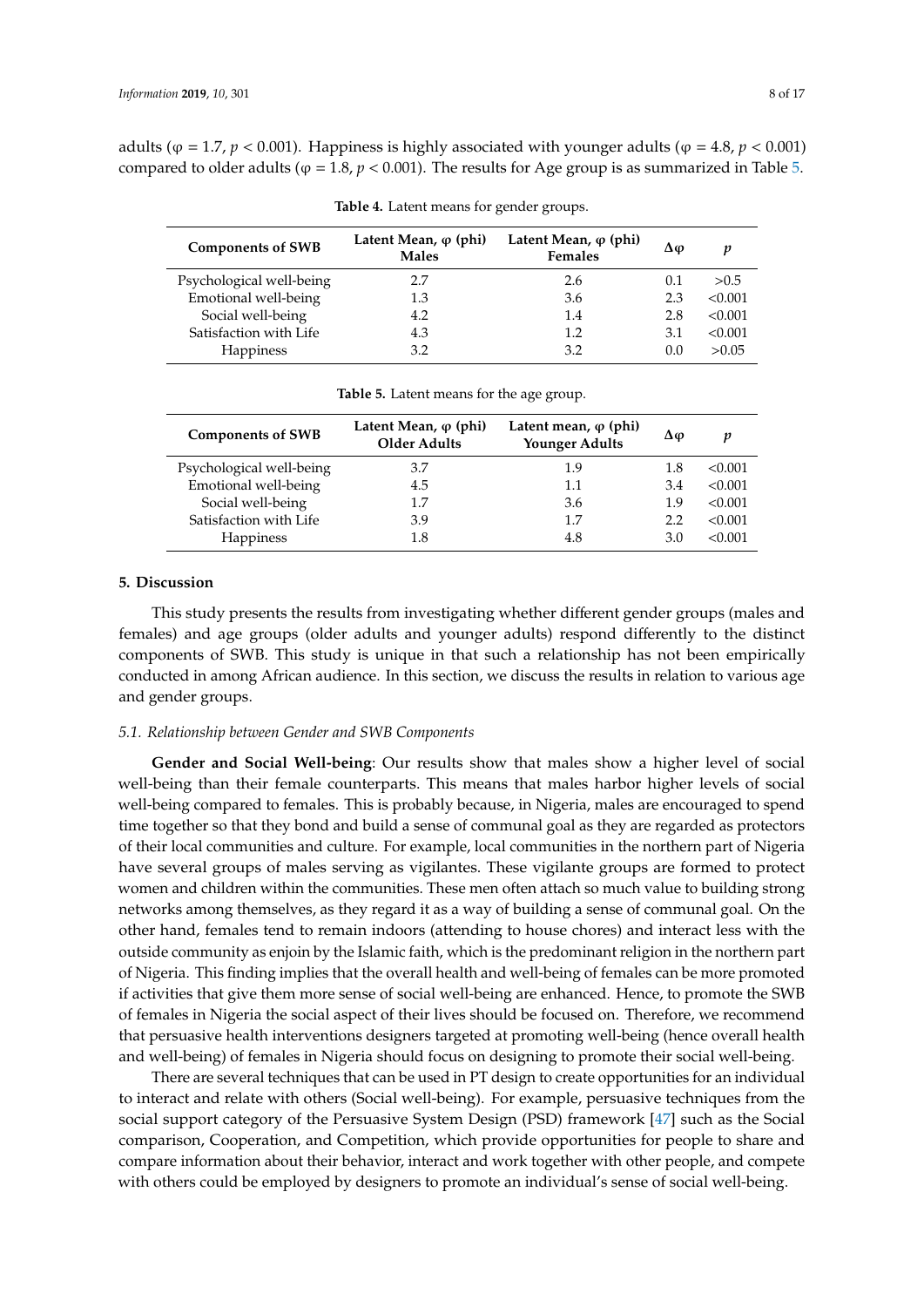<span id="page-7-0"></span>adults ( $\varphi = 1.7$ ,  $p < 0.001$ ). Happiness is highly associated with younger adults ( $\varphi = 4.8$ ,  $p < 0.001$ ) compared to older adults ( $\varphi = 1.8$ ,  $p < 0.001$ ). The results for Age group is as summarized in Table [5.](#page-7-1)

| <b>Components of SWB</b> | Latent Mean, $\varphi$ (phi)<br><b>Males</b> | Latent Mean, $\varphi$ (phi)<br>Females | Δω  |         |
|--------------------------|----------------------------------------------|-----------------------------------------|-----|---------|
| Psychological well-being | 2.7                                          | 2.6                                     | 0.1 | > 0.5   |
| Emotional well-being     | 1.3                                          | 3.6                                     | 2.3 | < 0.001 |
| Social well-being        | 4.2                                          | 1.4                                     | 2.8 | < 0.001 |
| Satisfaction with Life   | 4.3                                          | 1.2                                     | 3.1 | < 0.001 |
| <b>Happiness</b>         | 3.2                                          | 3.2                                     | 0.0 | > 0.05  |

**Table 4.** Latent means for gender groups.

<span id="page-7-1"></span>

| <b>Components of SWB</b> | Latent Mean, $\varphi$ (phi)<br><b>Older Adults</b> | Latent mean, $\varphi$ (phi)<br><b>Younger Adults</b> | Δω  | п       |
|--------------------------|-----------------------------------------------------|-------------------------------------------------------|-----|---------|
| Psychological well-being | 3.7                                                 | 1.9                                                   | 1.8 | < 0.001 |
| Emotional well-being     | 4.5                                                 | 1.1                                                   | 3.4 | < 0.001 |
| Social well-being        | 1.7                                                 | 3.6                                                   | 1.9 | < 0.001 |
| Satisfaction with Life   | 3.9                                                 | 1.7                                                   | 2.2 | < 0.001 |
| <b>Happiness</b>         | 1.8                                                 | 4.8                                                   | 3.0 | < 0.001 |

**Table 5.** Latent means for the age group.

**5. Discussion**

This study presents the results from investigating whether different gender groups (males and females) and age groups (older adults and younger adults) respond differently to the distinct components of SWB. This study is unique in that such a relationship has not been empirically conducted in among African audience. In this section, we discuss the results in relation to various age and gender groups.

#### *5.1. Relationship between Gender and SWB Components*

**Gender and Social Well-being**: Our results show that males show a higher level of social well-being than their female counterparts. This means that males harbor higher levels of social well-being compared to females. This is probably because, in Nigeria, males are encouraged to spend time together so that they bond and build a sense of communal goal as they are regarded as protectors of their local communities and culture. For example, local communities in the northern part of Nigeria have several groups of males serving as vigilantes. These vigilante groups are formed to protect women and children within the communities. These men often attach so much value to building strong networks among themselves, as they regard it as a way of building a sense of communal goal. On the other hand, females tend to remain indoors (attending to house chores) and interact less with the outside community as enjoin by the Islamic faith, which is the predominant religion in the northern part of Nigeria. This finding implies that the overall health and well-being of females can be more promoted if activities that give them more sense of social well-being are enhanced. Hence, to promote the SWB of females in Nigeria the social aspect of their lives should be focused on. Therefore, we recommend that persuasive health interventions designers targeted at promoting well-being (hence overall health and well-being) of females in Nigeria should focus on designing to promote their social well-being.

There are several techniques that can be used in PT design to create opportunities for an individual to interact and relate with others (Social well-being). For example, persuasive techniques from the social support category of the Persuasive System Design (PSD) framework [\[47\]](#page-16-11) such as the Social comparison, Cooperation, and Competition, which provide opportunities for people to share and compare information about their behavior, interact and work together with other people, and compete with others could be employed by designers to promote an individual's sense of social well-being.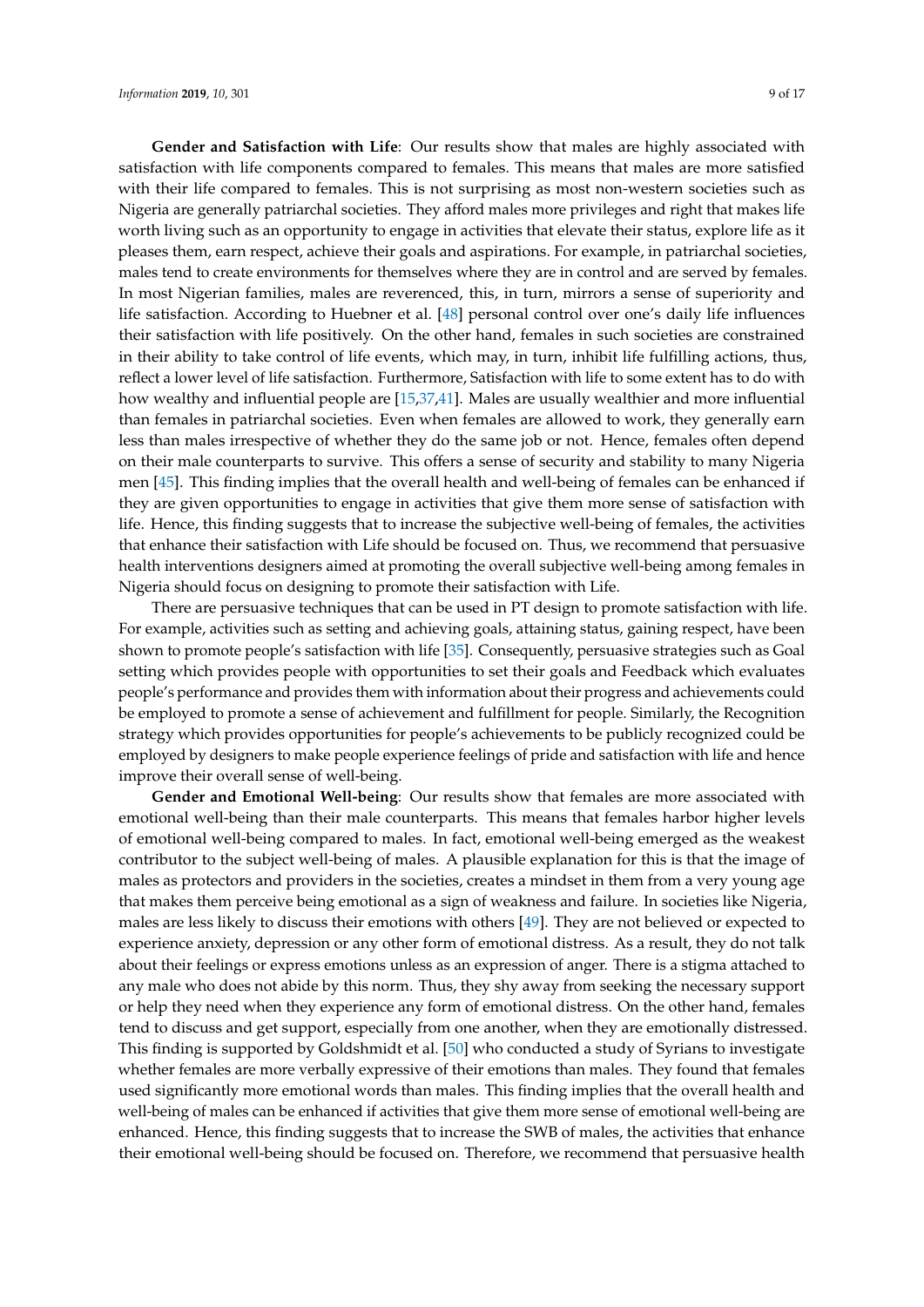**Gender and Satisfaction with Life**: Our results show that males are highly associated with satisfaction with life components compared to females. This means that males are more satisfied with their life compared to females. This is not surprising as most non-western societies such as Nigeria are generally patriarchal societies. They afford males more privileges and right that makes life worth living such as an opportunity to engage in activities that elevate their status, explore life as it pleases them, earn respect, achieve their goals and aspirations. For example, in patriarchal societies, males tend to create environments for themselves where they are in control and are served by females. In most Nigerian families, males are reverenced, this, in turn, mirrors a sense of superiority and life satisfaction. According to Huebner et al. [\[48\]](#page-16-12) personal control over one's daily life influences their satisfaction with life positively. On the other hand, females in such societies are constrained in their ability to take control of life events, which may, in turn, inhibit life fulfilling actions, thus, reflect a lower level of life satisfaction. Furthermore, Satisfaction with life to some extent has to do with how wealthy and influential people are [\[15,](#page-15-2)[37,](#page-16-1)[41\]](#page-16-5). Males are usually wealthier and more influential than females in patriarchal societies. Even when females are allowed to work, they generally earn less than males irrespective of whether they do the same job or not. Hence, females often depend on their male counterparts to survive. This offers a sense of security and stability to many Nigeria men [\[45\]](#page-16-9). This finding implies that the overall health and well-being of females can be enhanced if they are given opportunities to engage in activities that give them more sense of satisfaction with life. Hence, this finding suggests that to increase the subjective well-being of females, the activities that enhance their satisfaction with Life should be focused on. Thus, we recommend that persuasive health interventions designers aimed at promoting the overall subjective well-being among females in Nigeria should focus on designing to promote their satisfaction with Life.

There are persuasive techniques that can be used in PT design to promote satisfaction with life. For example, activities such as setting and achieving goals, attaining status, gaining respect, have been shown to promote people's satisfaction with life [\[35\]](#page-15-20). Consequently, persuasive strategies such as Goal setting which provides people with opportunities to set their goals and Feedback which evaluates people's performance and provides them with information about their progress and achievements could be employed to promote a sense of achievement and fulfillment for people. Similarly, the Recognition strategy which provides opportunities for people's achievements to be publicly recognized could be employed by designers to make people experience feelings of pride and satisfaction with life and hence improve their overall sense of well-being.

**Gender and Emotional Well-being**: Our results show that females are more associated with emotional well-being than their male counterparts. This means that females harbor higher levels of emotional well-being compared to males. In fact, emotional well-being emerged as the weakest contributor to the subject well-being of males. A plausible explanation for this is that the image of males as protectors and providers in the societies, creates a mindset in them from a very young age that makes them perceive being emotional as a sign of weakness and failure. In societies like Nigeria, males are less likely to discuss their emotions with others [\[49\]](#page-16-13). They are not believed or expected to experience anxiety, depression or any other form of emotional distress. As a result, they do not talk about their feelings or express emotions unless as an expression of anger. There is a stigma attached to any male who does not abide by this norm. Thus, they shy away from seeking the necessary support or help they need when they experience any form of emotional distress. On the other hand, females tend to discuss and get support, especially from one another, when they are emotionally distressed. This finding is supported by Goldshmidt et al. [\[50\]](#page-16-14) who conducted a study of Syrians to investigate whether females are more verbally expressive of their emotions than males. They found that females used significantly more emotional words than males. This finding implies that the overall health and well-being of males can be enhanced if activities that give them more sense of emotional well-being are enhanced. Hence, this finding suggests that to increase the SWB of males, the activities that enhance their emotional well-being should be focused on. Therefore, we recommend that persuasive health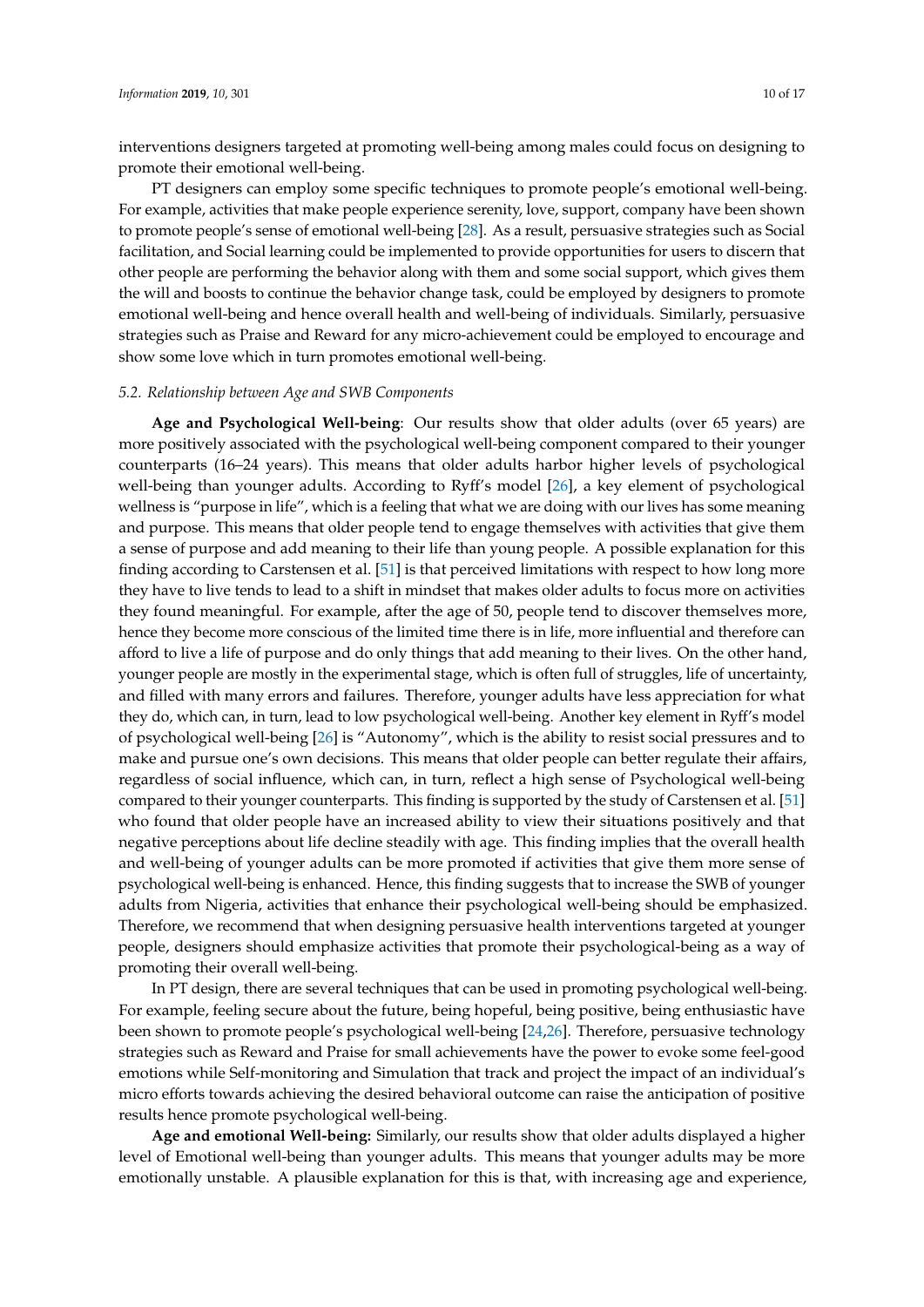interventions designers targeted at promoting well-being among males could focus on designing to promote their emotional well-being.

PT designers can employ some specific techniques to promote people's emotional well-being. For example, activities that make people experience serenity, love, support, company have been shown to promote people's sense of emotional well-being [\[28\]](#page-15-13). As a result, persuasive strategies such as Social facilitation, and Social learning could be implemented to provide opportunities for users to discern that other people are performing the behavior along with them and some social support, which gives them the will and boosts to continue the behavior change task, could be employed by designers to promote emotional well-being and hence overall health and well-being of individuals. Similarly, persuasive strategies such as Praise and Reward for any micro-achievement could be employed to encourage and show some love which in turn promotes emotional well-being.

## *5.2. Relationship between Age and SWB Components*

**Age and Psychological Well-being**: Our results show that older adults (over 65 years) are more positively associated with the psychological well-being component compared to their younger counterparts (16–24 years). This means that older adults harbor higher levels of psychological well-being than younger adults. According to Ryff's model [\[26\]](#page-15-11), a key element of psychological wellness is "purpose in life", which is a feeling that what we are doing with our lives has some meaning and purpose. This means that older people tend to engage themselves with activities that give them a sense of purpose and add meaning to their life than young people. A possible explanation for this finding according to Carstensen et al. [\[51\]](#page-16-15) is that perceived limitations with respect to how long more they have to live tends to lead to a shift in mindset that makes older adults to focus more on activities they found meaningful. For example, after the age of 50, people tend to discover themselves more, hence they become more conscious of the limited time there is in life, more influential and therefore can afford to live a life of purpose and do only things that add meaning to their lives. On the other hand, younger people are mostly in the experimental stage, which is often full of struggles, life of uncertainty, and filled with many errors and failures. Therefore, younger adults have less appreciation for what they do, which can, in turn, lead to low psychological well-being. Another key element in Ryff's model of psychological well-being [\[26\]](#page-15-11) is "Autonomy", which is the ability to resist social pressures and to make and pursue one's own decisions. This means that older people can better regulate their affairs, regardless of social influence, which can, in turn, reflect a high sense of Psychological well-being compared to their younger counterparts. This finding is supported by the study of Carstensen et al. [\[51\]](#page-16-15) who found that older people have an increased ability to view their situations positively and that negative perceptions about life decline steadily with age. This finding implies that the overall health and well-being of younger adults can be more promoted if activities that give them more sense of psychological well-being is enhanced. Hence, this finding suggests that to increase the SWB of younger adults from Nigeria, activities that enhance their psychological well-being should be emphasized. Therefore, we recommend that when designing persuasive health interventions targeted at younger people, designers should emphasize activities that promote their psychological-being as a way of promoting their overall well-being.

In PT design, there are several techniques that can be used in promoting psychological well-being. For example, feeling secure about the future, being hopeful, being positive, being enthusiastic have been shown to promote people's psychological well-being [\[24](#page-15-9)[,26\]](#page-15-11). Therefore, persuasive technology strategies such as Reward and Praise for small achievements have the power to evoke some feel-good emotions while Self-monitoring and Simulation that track and project the impact of an individual's micro efforts towards achieving the desired behavioral outcome can raise the anticipation of positive results hence promote psychological well-being.

**Age and emotional Well-being:** Similarly, our results show that older adults displayed a higher level of Emotional well-being than younger adults. This means that younger adults may be more emotionally unstable. A plausible explanation for this is that, with increasing age and experience,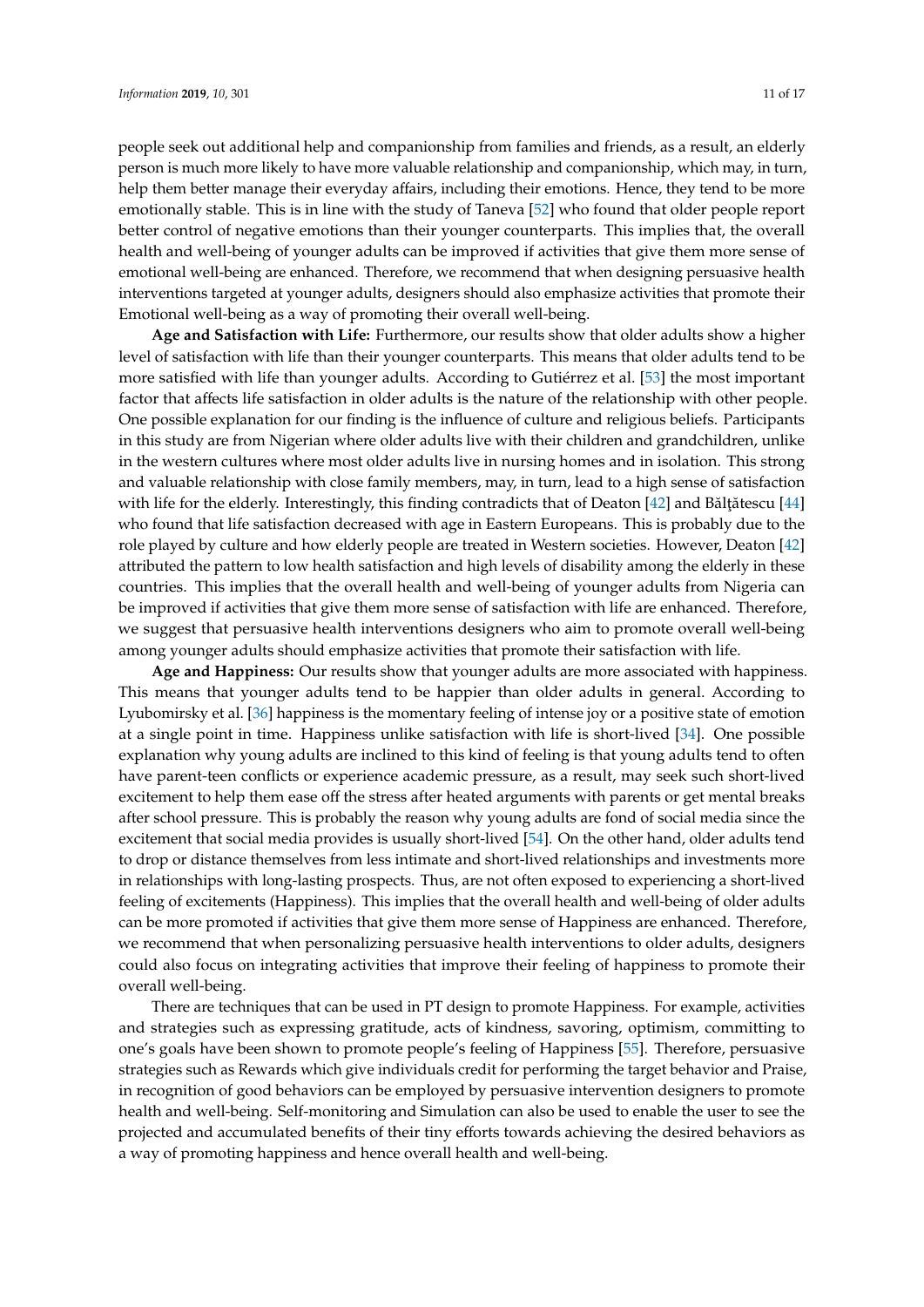people seek out additional help and companionship from families and friends, as a result, an elderly person is much more likely to have more valuable relationship and companionship, which may, in turn, help them better manage their everyday affairs, including their emotions. Hence, they tend to be more emotionally stable. This is in line with the study of Taneva [\[52\]](#page-16-16) who found that older people report better control of negative emotions than their younger counterparts. This implies that, the overall health and well-being of younger adults can be improved if activities that give them more sense of emotional well-being are enhanced. Therefore, we recommend that when designing persuasive health interventions targeted at younger adults, designers should also emphasize activities that promote their Emotional well-being as a way of promoting their overall well-being.

**Age and Satisfaction with Life:** Furthermore, our results show that older adults show a higher level of satisfaction with life than their younger counterparts. This means that older adults tend to be more satisfied with life than younger adults. According to Gutiérrez et al. [\[53\]](#page-16-17) the most important factor that affects life satisfaction in older adults is the nature of the relationship with other people. One possible explanation for our finding is the influence of culture and religious beliefs. Participants in this study are from Nigerian where older adults live with their children and grandchildren, unlike in the western cultures where most older adults live in nursing homes and in isolation. This strong and valuable relationship with close family members, may, in turn, lead to a high sense of satisfaction with life for the elderly. Interestingly, this finding contradicts that of Deaton  $[42]$  and Bălțătescu  $[44]$ who found that life satisfaction decreased with age in Eastern Europeans. This is probably due to the role played by culture and how elderly people are treated in Western societies. However, Deaton [\[42\]](#page-16-6) attributed the pattern to low health satisfaction and high levels of disability among the elderly in these countries. This implies that the overall health and well-being of younger adults from Nigeria can be improved if activities that give them more sense of satisfaction with life are enhanced. Therefore, we suggest that persuasive health interventions designers who aim to promote overall well-being among younger adults should emphasize activities that promote their satisfaction with life.

**Age and Happiness:** Our results show that younger adults are more associated with happiness. This means that younger adults tend to be happier than older adults in general. According to Lyubomirsky et al. [\[36\]](#page-16-0) happiness is the momentary feeling of intense joy or a positive state of emotion at a single point in time. Happiness unlike satisfaction with life is short-lived [\[34\]](#page-15-19). One possible explanation why young adults are inclined to this kind of feeling is that young adults tend to often have parent-teen conflicts or experience academic pressure, as a result, may seek such short-lived excitement to help them ease off the stress after heated arguments with parents or get mental breaks after school pressure. This is probably the reason why young adults are fond of social media since the excitement that social media provides is usually short-lived [\[54\]](#page-16-18). On the other hand, older adults tend to drop or distance themselves from less intimate and short-lived relationships and investments more in relationships with long-lasting prospects. Thus, are not often exposed to experiencing a short-lived feeling of excitements (Happiness). This implies that the overall health and well-being of older adults can be more promoted if activities that give them more sense of Happiness are enhanced. Therefore, we recommend that when personalizing persuasive health interventions to older adults, designers could also focus on integrating activities that improve their feeling of happiness to promote their overall well-being.

There are techniques that can be used in PT design to promote Happiness. For example, activities and strategies such as expressing gratitude, acts of kindness, savoring, optimism, committing to one's goals have been shown to promote people's feeling of Happiness [\[55\]](#page-16-19). Therefore, persuasive strategies such as Rewards which give individuals credit for performing the target behavior and Praise, in recognition of good behaviors can be employed by persuasive intervention designers to promote health and well-being. Self-monitoring and Simulation can also be used to enable the user to see the projected and accumulated benefits of their tiny efforts towards achieving the desired behaviors as a way of promoting happiness and hence overall health and well-being.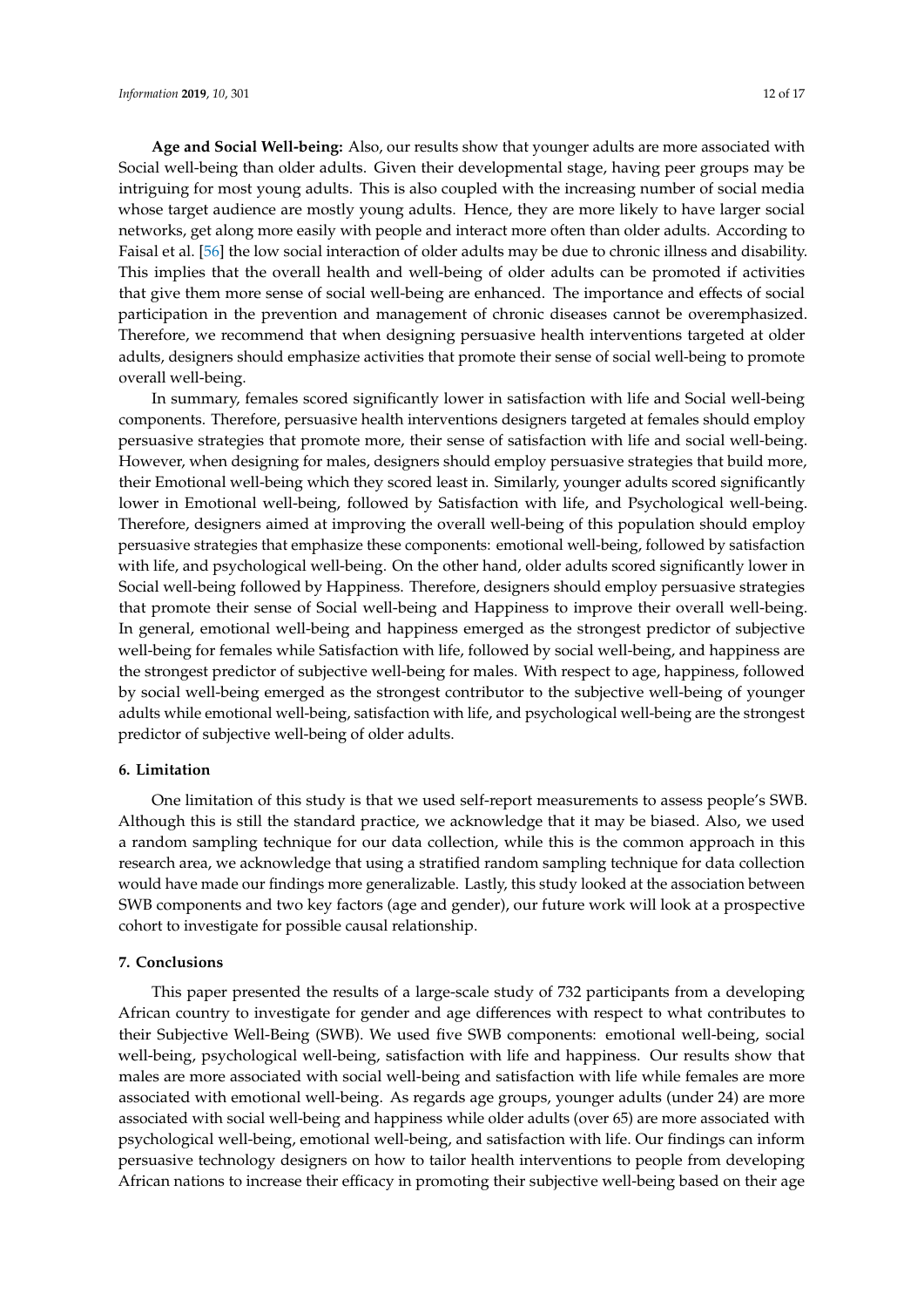**Age and Social Well-being:** Also, our results show that younger adults are more associated with Social well-being than older adults. Given their developmental stage, having peer groups may be intriguing for most young adults. This is also coupled with the increasing number of social media whose target audience are mostly young adults. Hence, they are more likely to have larger social networks, get along more easily with people and interact more often than older adults. According to Faisal et al. [\[56\]](#page-16-20) the low social interaction of older adults may be due to chronic illness and disability. This implies that the overall health and well-being of older adults can be promoted if activities that give them more sense of social well-being are enhanced. The importance and effects of social participation in the prevention and management of chronic diseases cannot be overemphasized. Therefore, we recommend that when designing persuasive health interventions targeted at older adults, designers should emphasize activities that promote their sense of social well-being to promote overall well-being.

In summary, females scored significantly lower in satisfaction with life and Social well-being components. Therefore, persuasive health interventions designers targeted at females should employ persuasive strategies that promote more, their sense of satisfaction with life and social well-being. However, when designing for males, designers should employ persuasive strategies that build more, their Emotional well-being which they scored least in. Similarly, younger adults scored significantly lower in Emotional well-being, followed by Satisfaction with life, and Psychological well-being. Therefore, designers aimed at improving the overall well-being of this population should employ persuasive strategies that emphasize these components: emotional well-being, followed by satisfaction with life, and psychological well-being. On the other hand, older adults scored significantly lower in Social well-being followed by Happiness. Therefore, designers should employ persuasive strategies that promote their sense of Social well-being and Happiness to improve their overall well-being. In general, emotional well-being and happiness emerged as the strongest predictor of subjective well-being for females while Satisfaction with life, followed by social well-being, and happiness are the strongest predictor of subjective well-being for males. With respect to age, happiness, followed by social well-being emerged as the strongest contributor to the subjective well-being of younger adults while emotional well-being, satisfaction with life, and psychological well-being are the strongest predictor of subjective well-being of older adults.

### **6. Limitation**

One limitation of this study is that we used self-report measurements to assess people's SWB. Although this is still the standard practice, we acknowledge that it may be biased. Also, we used a random sampling technique for our data collection, while this is the common approach in this research area, we acknowledge that using a stratified random sampling technique for data collection would have made our findings more generalizable. Lastly, this study looked at the association between SWB components and two key factors (age and gender), our future work will look at a prospective cohort to investigate for possible causal relationship.

### **7. Conclusions**

This paper presented the results of a large-scale study of 732 participants from a developing African country to investigate for gender and age differences with respect to what contributes to their Subjective Well-Being (SWB). We used five SWB components: emotional well-being, social well-being, psychological well-being, satisfaction with life and happiness. Our results show that males are more associated with social well-being and satisfaction with life while females are more associated with emotional well-being. As regards age groups, younger adults (under 24) are more associated with social well-being and happiness while older adults (over 65) are more associated with psychological well-being, emotional well-being, and satisfaction with life. Our findings can inform persuasive technology designers on how to tailor health interventions to people from developing African nations to increase their efficacy in promoting their subjective well-being based on their age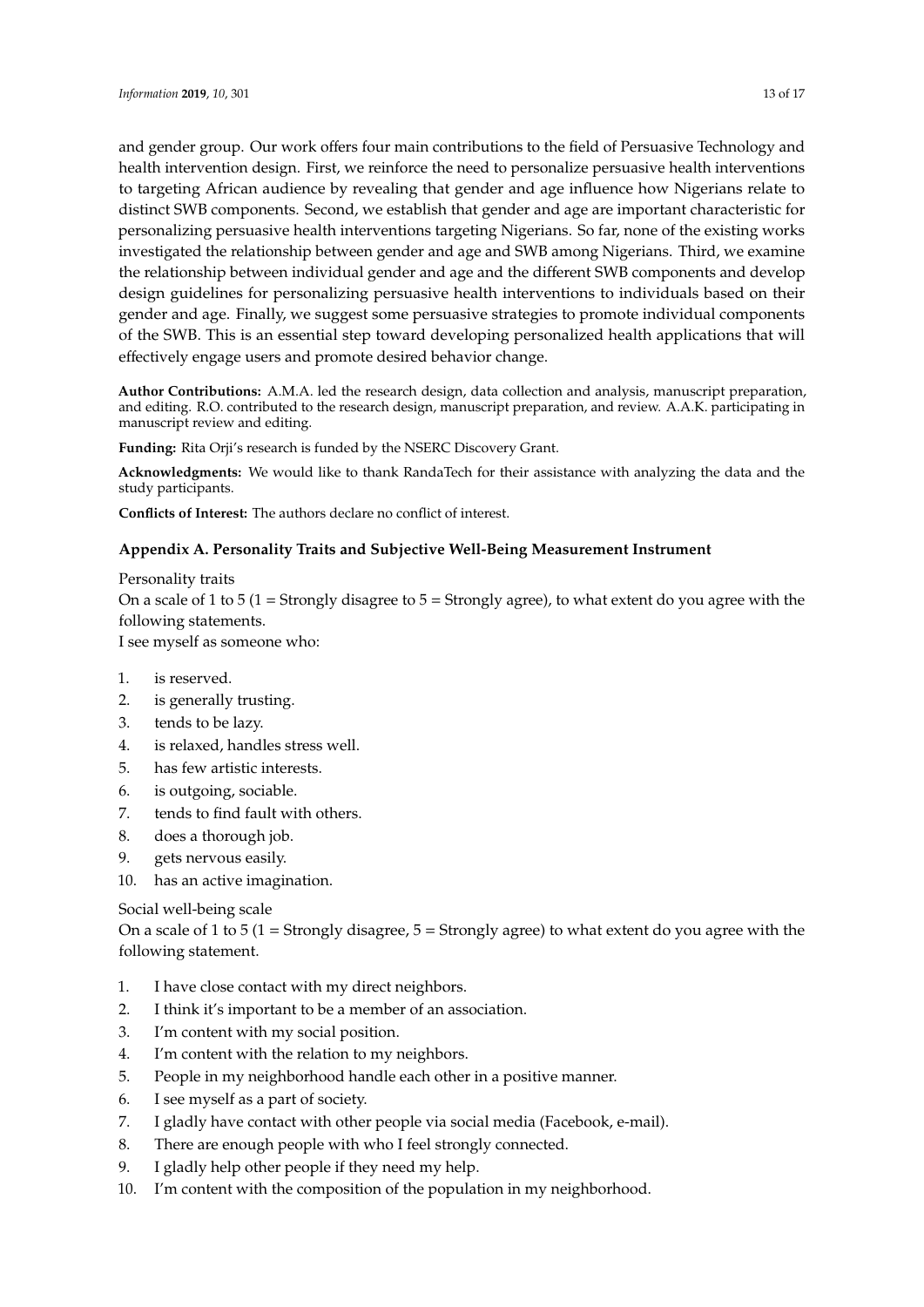and gender group. Our work offers four main contributions to the field of Persuasive Technology and health intervention design. First, we reinforce the need to personalize persuasive health interventions to targeting African audience by revealing that gender and age influence how Nigerians relate to distinct SWB components. Second, we establish that gender and age are important characteristic for personalizing persuasive health interventions targeting Nigerians. So far, none of the existing works investigated the relationship between gender and age and SWB among Nigerians. Third, we examine the relationship between individual gender and age and the different SWB components and develop design guidelines for personalizing persuasive health interventions to individuals based on their gender and age. Finally, we suggest some persuasive strategies to promote individual components of the SWB. This is an essential step toward developing personalized health applications that will effectively engage users and promote desired behavior change.

**Author Contributions:** A.M.A. led the research design, data collection and analysis, manuscript preparation, and editing. R.O. contributed to the research design, manuscript preparation, and review. A.A.K. participating in manuscript review and editing.

**Funding:** Rita Orji's research is funded by the NSERC Discovery Grant.

**Acknowledgments:** We would like to thank RandaTech for their assistance with analyzing the data and the study participants.

**Conflicts of Interest:** The authors declare no conflict of interest.

# <span id="page-12-0"></span>**Appendix A. Personality Traits and Subjective Well-Being Measurement Instrument**

Personality traits

On a scale of 1 to 5 (1 = Strongly disagree to  $5$  = Strongly agree), to what extent do you agree with the following statements.

I see myself as someone who:

- 1. is reserved.
- 2. is generally trusting.
- 3. tends to be lazy.
- 4. is relaxed, handles stress well.
- 5. has few artistic interests.
- 6. is outgoing, sociable.
- 7. tends to find fault with others.
- 8. does a thorough job.
- 9. gets nervous easily.
- 10. has an active imagination.

# Social well-being scale

On a scale of 1 to 5 (1 = Strongly disagree,  $5 =$  Strongly agree) to what extent do you agree with the following statement.

- 1. I have close contact with my direct neighbors.
- 2. I think it's important to be a member of an association.
- 3. I'm content with my social position.
- 4. I'm content with the relation to my neighbors.
- 5. People in my neighborhood handle each other in a positive manner.
- 6. I see myself as a part of society.
- 7. I gladly have contact with other people via social media (Facebook, e-mail).
- 8. There are enough people with who I feel strongly connected.
- 9. I gladly help other people if they need my help.
- 10. I'm content with the composition of the population in my neighborhood.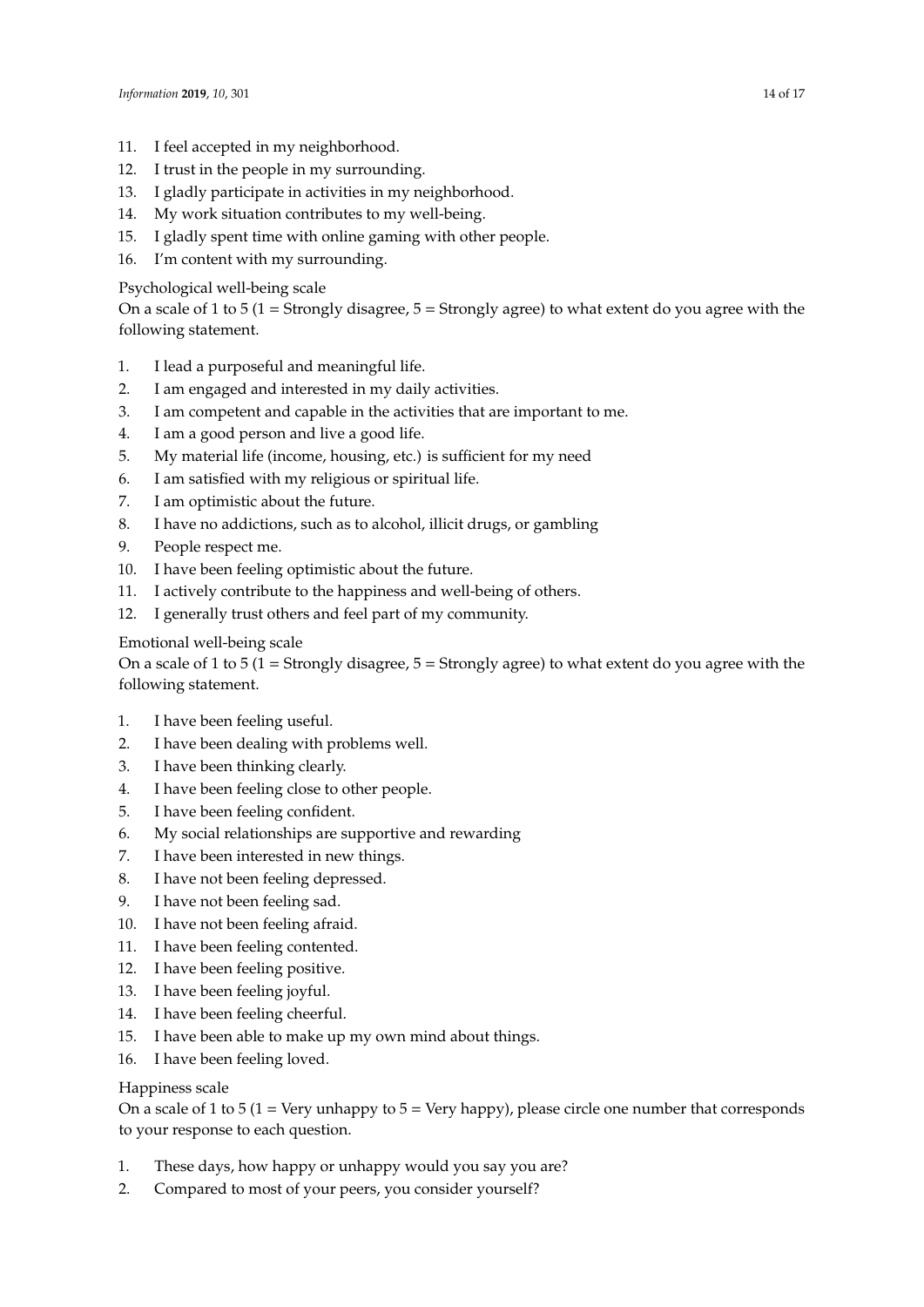- 11. I feel accepted in my neighborhood.
- 12. I trust in the people in my surrounding.
- 13. I gladly participate in activities in my neighborhood.
- 14. My work situation contributes to my well-being.
- 15. I gladly spent time with online gaming with other people.
- 16. I'm content with my surrounding.

# Psychological well-being scale

On a scale of 1 to 5 (1 = Strongly disagree,  $5 =$  Strongly agree) to what extent do you agree with the following statement.

- 1. I lead a purposeful and meaningful life.
- 2. I am engaged and interested in my daily activities.
- 3. I am competent and capable in the activities that are important to me.
- 4. I am a good person and live a good life.
- 5. My material life (income, housing, etc.) is sufficient for my need
- 6. I am satisfied with my religious or spiritual life.
- 7. I am optimistic about the future.
- 8. I have no addictions, such as to alcohol, illicit drugs, or gambling
- 9. People respect me.
- 10. I have been feeling optimistic about the future.
- 11. I actively contribute to the happiness and well-being of others.
- 12. I generally trust others and feel part of my community.

# Emotional well-being scale

On a scale of 1 to  $5$  (1 = Strongly disagree,  $5$  = Strongly agree) to what extent do you agree with the following statement.

- 1. I have been feeling useful.
- 2. I have been dealing with problems well.
- 3. I have been thinking clearly.
- 4. I have been feeling close to other people.
- 5. I have been feeling confident.
- 6. My social relationships are supportive and rewarding
- 7. I have been interested in new things.
- 8. I have not been feeling depressed.
- 9. I have not been feeling sad.
- 10. I have not been feeling afraid.
- 11. I have been feeling contented.
- 12. I have been feeling positive.
- 13. I have been feeling joyful.
- 14. I have been feeling cheerful.
- 15. I have been able to make up my own mind about things.
- 16. I have been feeling loved.

# Happiness scale

On a scale of 1 to 5 (1 = Very unhappy to  $5 =$  Very happy), please circle one number that corresponds to your response to each question.

- 1. These days, how happy or unhappy would you say you are?
- 2. Compared to most of your peers, you consider yourself?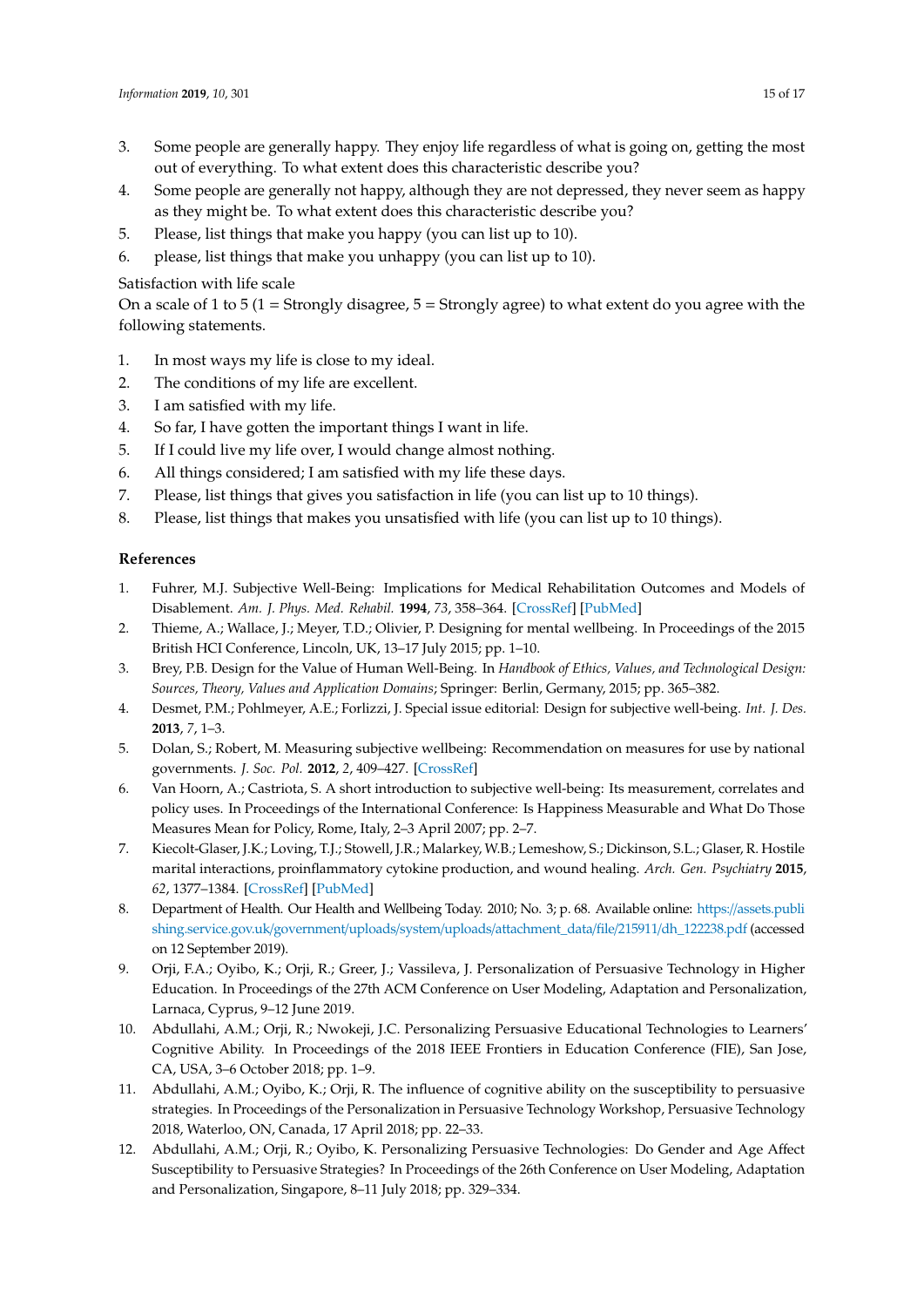- 3. Some people are generally happy. They enjoy life regardless of what is going on, getting the most out of everything. To what extent does this characteristic describe you?
- 4. Some people are generally not happy, although they are not depressed, they never seem as happy as they might be. To what extent does this characteristic describe you?
- 5. Please, list things that make you happy (you can list up to 10).
- 6. please, list things that make you unhappy (you can list up to 10).

### Satisfaction with life scale

On a scale of 1 to 5 (1 = Strongly disagree,  $5 =$  Strongly agree) to what extent do you agree with the following statements.

- 1. In most ways my life is close to my ideal.
- 2. The conditions of my life are excellent.
- 3. I am satisfied with my life.
- 4. So far, I have gotten the important things I want in life.
- 5. If I could live my life over, I would change almost nothing.
- 6. All things considered; I am satisfied with my life these days.
- 7. Please, list things that gives you satisfaction in life (you can list up to 10 things).
- 8. Please, list things that makes you unsatisfied with life (you can list up to 10 things).

### **References**

- <span id="page-14-0"></span>1. Fuhrer, M.J. Subjective Well-Being: Implications for Medical Rehabilitation Outcomes and Models of Disablement. *Am. J. Phys. Med. Rehabil.* **1994**, *73*, 358–364. [\[CrossRef\]](http://dx.doi.org/10.1097/00002060-199409000-00010) [\[PubMed\]](http://www.ncbi.nlm.nih.gov/pubmed/7917167)
- <span id="page-14-1"></span>2. Thieme, A.; Wallace, J.; Meyer, T.D.; Olivier, P. Designing for mental wellbeing. In Proceedings of the 2015 British HCI Conference, Lincoln, UK, 13–17 July 2015; pp. 1–10.
- 3. Brey, P.B. Design for the Value of Human Well-Being. In *Handbook of Ethics, Values, and Technological Design: Sources, Theory, Values and Application Domains*; Springer: Berlin, Germany, 2015; pp. 365–382.
- <span id="page-14-2"></span>4. Desmet, P.M.; Pohlmeyer, A.E.; Forlizzi, J. Special issue editorial: Design for subjective well-being. *Int. J. Des.* **2013**, *7*, 1–3.
- <span id="page-14-3"></span>5. Dolan, S.; Robert, M. Measuring subjective wellbeing: Recommendation on measures for use by national governments. *J. Soc. Pol.* **2012**, *2*, 409–427. [\[CrossRef\]](http://dx.doi.org/10.1017/S0047279411000833)
- <span id="page-14-4"></span>6. Van Hoorn, A.; Castriota, S. A short introduction to subjective well-being: Its measurement, correlates and policy uses. In Proceedings of the International Conference: Is Happiness Measurable and What Do Those Measures Mean for Policy, Rome, Italy, 2–3 April 2007; pp. 2–7.
- <span id="page-14-5"></span>7. Kiecolt-Glaser, J.K.; Loving, T.J.; Stowell, J.R.; Malarkey, W.B.; Lemeshow, S.; Dickinson, S.L.; Glaser, R. Hostile marital interactions, proinflammatory cytokine production, and wound healing. *Arch. Gen. Psychiatry* **2015**, *62*, 1377–1384. [\[CrossRef\]](http://dx.doi.org/10.1001/archpsyc.62.12.1377) [\[PubMed\]](http://www.ncbi.nlm.nih.gov/pubmed/16330726)
- <span id="page-14-6"></span>8. Department of Health. Our Health and Wellbeing Today. 2010; No. 3; p. 68. Available online: https://[assets.publi](https://assets.publishing.service.gov.uk/government/uploads/system/uploads/attachment_data/file/215911/dh_122238.pdf) [shing.service.gov.uk](https://assets.publishing.service.gov.uk/government/uploads/system/uploads/attachment_data/file/215911/dh_122238.pdf)/government/uploads/system/uploads/attachment\_data/file/215911/dh\_122238.pdf (accessed on 12 September 2019).
- <span id="page-14-7"></span>9. Orji, F.A.; Oyibo, K.; Orji, R.; Greer, J.; Vassileva, J. Personalization of Persuasive Technology in Higher Education. In Proceedings of the 27th ACM Conference on User Modeling, Adaptation and Personalization, Larnaca, Cyprus, 9–12 June 2019.
- <span id="page-14-8"></span>10. Abdullahi, A.M.; Orji, R.; Nwokeji, J.C. Personalizing Persuasive Educational Technologies to Learners' Cognitive Ability. In Proceedings of the 2018 IEEE Frontiers in Education Conference (FIE), San Jose, CA, USA, 3–6 October 2018; pp. 1–9.
- 11. Abdullahi, A.M.; Oyibo, K.; Orji, R. The influence of cognitive ability on the susceptibility to persuasive strategies. In Proceedings of the Personalization in Persuasive Technology Workshop, Persuasive Technology 2018, Waterloo, ON, Canada, 17 April 2018; pp. 22–33.
- <span id="page-14-9"></span>12. Abdullahi, A.M.; Orji, R.; Oyibo, K. Personalizing Persuasive Technologies: Do Gender and Age Affect Susceptibility to Persuasive Strategies? In Proceedings of the 26th Conference on User Modeling, Adaptation and Personalization, Singapore, 8–11 July 2018; pp. 329–334.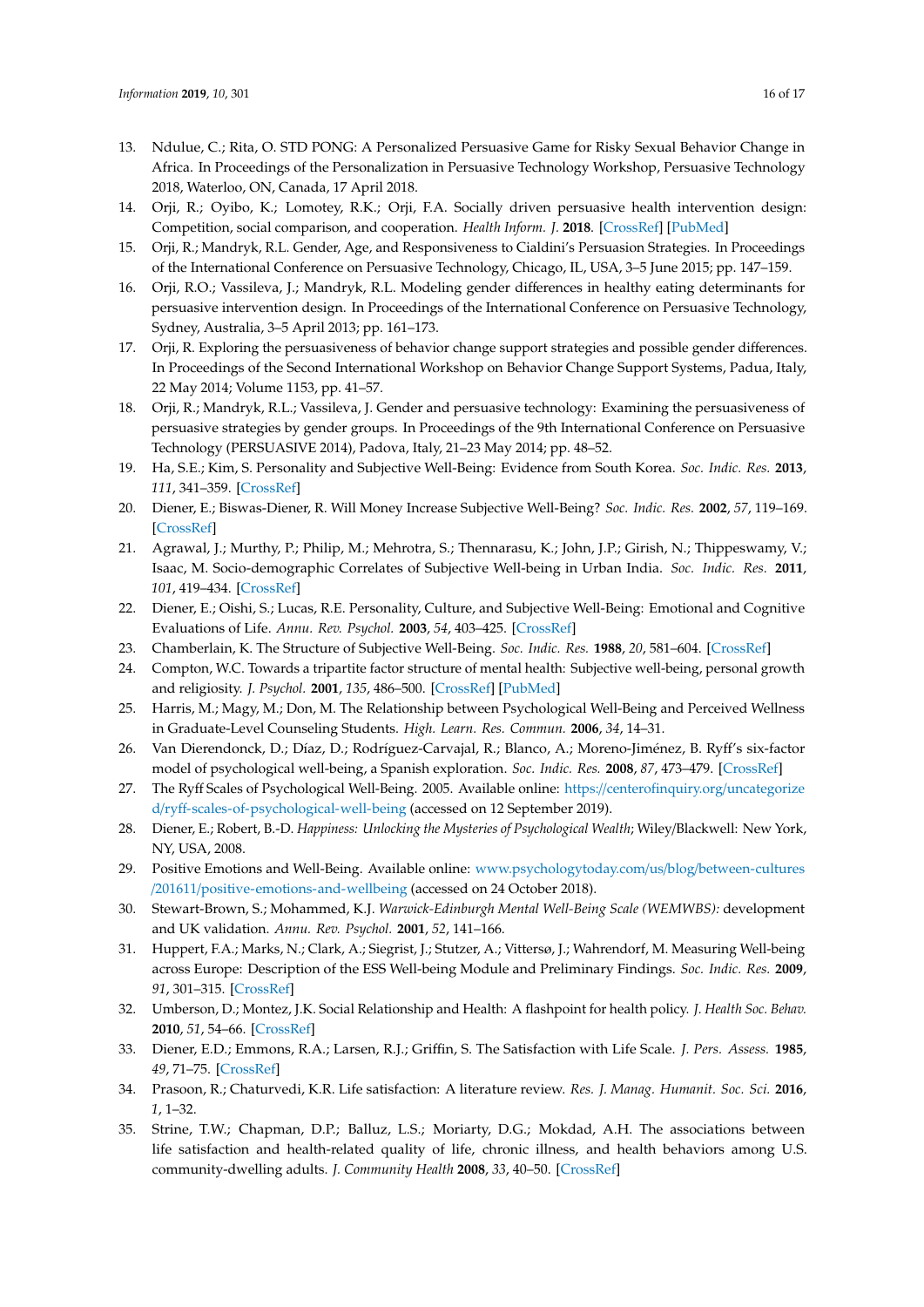- <span id="page-15-1"></span>13. Ndulue, C.; Rita, O. STD PONG: A Personalized Persuasive Game for Risky Sexual Behavior Change in Africa. In Proceedings of the Personalization in Persuasive Technology Workshop, Persuasive Technology 2018, Waterloo, ON, Canada, 17 April 2018.
- <span id="page-15-0"></span>14. Orji, R.; Oyibo, K.; Lomotey, R.K.; Orji, F.A. Socially driven persuasive health intervention design: Competition, social comparison, and cooperation. *Health Inform. J.* **2018**. [\[CrossRef\]](http://dx.doi.org/10.1177/1460458218766570) [\[PubMed\]](http://www.ncbi.nlm.nih.gov/pubmed/29801426)
- <span id="page-15-2"></span>15. Orji, R.; Mandryk, R.L. Gender, Age, and Responsiveness to Cialdini's Persuasion Strategies. In Proceedings of the International Conference on Persuasive Technology, Chicago, IL, USA, 3–5 June 2015; pp. 147–159.
- 16. Orji, R.O.; Vassileva, J.; Mandryk, R.L. Modeling gender differences in healthy eating determinants for persuasive intervention design. In Proceedings of the International Conference on Persuasive Technology, Sydney, Australia, 3–5 April 2013; pp. 161–173.
- 17. Orji, R. Exploring the persuasiveness of behavior change support strategies and possible gender differences. In Proceedings of the Second International Workshop on Behavior Change Support Systems, Padua, Italy, 22 May 2014; Volume 1153, pp. 41–57.
- <span id="page-15-3"></span>18. Orji, R.; Mandryk, R.L.; Vassileva, J. Gender and persuasive technology: Examining the persuasiveness of persuasive strategies by gender groups. In Proceedings of the 9th International Conference on Persuasive Technology (PERSUASIVE 2014), Padova, Italy, 21–23 May 2014; pp. 48–52.
- <span id="page-15-4"></span>19. Ha, S.E.; Kim, S. Personality and Subjective Well-Being: Evidence from South Korea. *Soc. Indic. Res.* **2013**, *111*, 341–359. [\[CrossRef\]](http://dx.doi.org/10.1007/s11205-012-0009-9)
- <span id="page-15-5"></span>20. Diener, E.; Biswas-Diener, R. Will Money Increase Subjective Well-Being? *Soc. Indic. Res.* **2002**, *57*, 119–169. [\[CrossRef\]](http://dx.doi.org/10.1023/A:1014411319119)
- <span id="page-15-6"></span>21. Agrawal, J.; Murthy, P.; Philip, M.; Mehrotra, S.; Thennarasu, K.; John, J.P.; Girish, N.; Thippeswamy, V.; Isaac, M. Socio-demographic Correlates of Subjective Well-being in Urban India. *Soc. Indic. Res.* **2011**, *101*, 419–434. [\[CrossRef\]](http://dx.doi.org/10.1007/s11205-010-9669-5)
- <span id="page-15-7"></span>22. Diener, E.; Oishi, S.; Lucas, R.E. Personality, Culture, and Subjective Well-Being: Emotional and Cognitive Evaluations of Life. *Annu. Rev. Psychol.* **2003**, *54*, 403–425. [\[CrossRef\]](http://dx.doi.org/10.1146/annurev.psych.54.101601.145056)
- <span id="page-15-8"></span>23. Chamberlain, K. The Structure of Subjective Well-Being. *Soc. Indic. Res.* **1988**, *20*, 581–604. [\[CrossRef\]](http://dx.doi.org/10.1007/BF03359559)
- <span id="page-15-9"></span>24. Compton, W.C. Towards a tripartite factor structure of mental health: Subjective well-being, personal growth and religiosity. *J. Psychol.* **2001**, *135*, 486–500. [\[CrossRef\]](http://dx.doi.org/10.1080/00223980109603714) [\[PubMed\]](http://www.ncbi.nlm.nih.gov/pubmed/11804003)
- <span id="page-15-10"></span>25. Harris, M.; Magy, M.; Don, M. The Relationship between Psychological Well-Being and Perceived Wellness in Graduate-Level Counseling Students. *High. Learn. Res. Commun.* **2006**, *34*, 14–31.
- <span id="page-15-11"></span>26. Van Dierendonck, D.; Díaz, D.; Rodríguez-Carvajal, R.; Blanco, A.; Moreno-Jiménez, B. Ryff's six-factor model of psychological well-being, a Spanish exploration. *Soc. Indic. Res.* **2008**, *87*, 473–479. [\[CrossRef\]](http://dx.doi.org/10.1007/s11205-007-9174-7)
- <span id="page-15-12"></span>27. The Ryff Scales of Psychological Well-Being. 2005. Available online: https://[centerofinquiry.org](https://centerofinquiry.org/uncategorized/ryff-scales-of-psychological-well-being)/uncategorize d/ryff[-scales-of-psychological-well-being](https://centerofinquiry.org/uncategorized/ryff-scales-of-psychological-well-being) (accessed on 12 September 2019).
- <span id="page-15-13"></span>28. Diener, E.; Robert, B.-D. *Happiness: Unlocking the Mysteries of Psychological Wealth*; Wiley/Blackwell: New York, NY, USA, 2008.
- <span id="page-15-14"></span>29. Positive Emotions and Well-Being. Available online: [www.psychologytoday.com](www.psychologytoday.com/us/blog/between-cultures/201611/positive-emotions-and-wellbeing)/us/blog/between-cultures /201611/[positive-emotions-and-wellbeing](www.psychologytoday.com/us/blog/between-cultures/201611/positive-emotions-and-wellbeing) (accessed on 24 October 2018).
- <span id="page-15-15"></span>30. Stewart-Brown, S.; Mohammed, K.J. *Warwick-Edinburgh Mental Well-Being Scale (WEMWBS):* development and UK validation. *Annu. Rev. Psychol.* **2001**, *52*, 141–166.
- <span id="page-15-16"></span>31. Huppert, F.A.; Marks, N.; Clark, A.; Siegrist, J.; Stutzer, A.; Vittersø, J.; Wahrendorf, M. Measuring Well-being across Europe: Description of the ESS Well-being Module and Preliminary Findings. *Soc. Indic. Res.* **2009**, *91*, 301–315. [\[CrossRef\]](http://dx.doi.org/10.1007/s11205-008-9346-0)
- <span id="page-15-17"></span>32. Umberson, D.; Montez, J.K. Social Relationship and Health: A flashpoint for health policy. *J. Health Soc. Behav.* **2010**, *51*, 54–66. [\[CrossRef\]](http://dx.doi.org/10.1177/0022146510383501)
- <span id="page-15-18"></span>33. Diener, E.D.; Emmons, R.A.; Larsen, R.J.; Griffin, S. The Satisfaction with Life Scale. *J. Pers. Assess.* **1985**, *49*, 71–75. [\[CrossRef\]](http://dx.doi.org/10.1207/s15327752jpa4901_13)
- <span id="page-15-19"></span>34. Prasoon, R.; Chaturvedi, K.R. Life satisfaction: A literature review. *Res. J. Manag. Humanit. Soc. Sci.* **2016**, *1*, 1–32.
- <span id="page-15-20"></span>35. Strine, T.W.; Chapman, D.P.; Balluz, L.S.; Moriarty, D.G.; Mokdad, A.H. The associations between life satisfaction and health-related quality of life, chronic illness, and health behaviors among U.S. community-dwelling adults. *J. Community Health* **2008**, *33*, 40–50. [\[CrossRef\]](http://dx.doi.org/10.1007/s10900-007-9066-4)